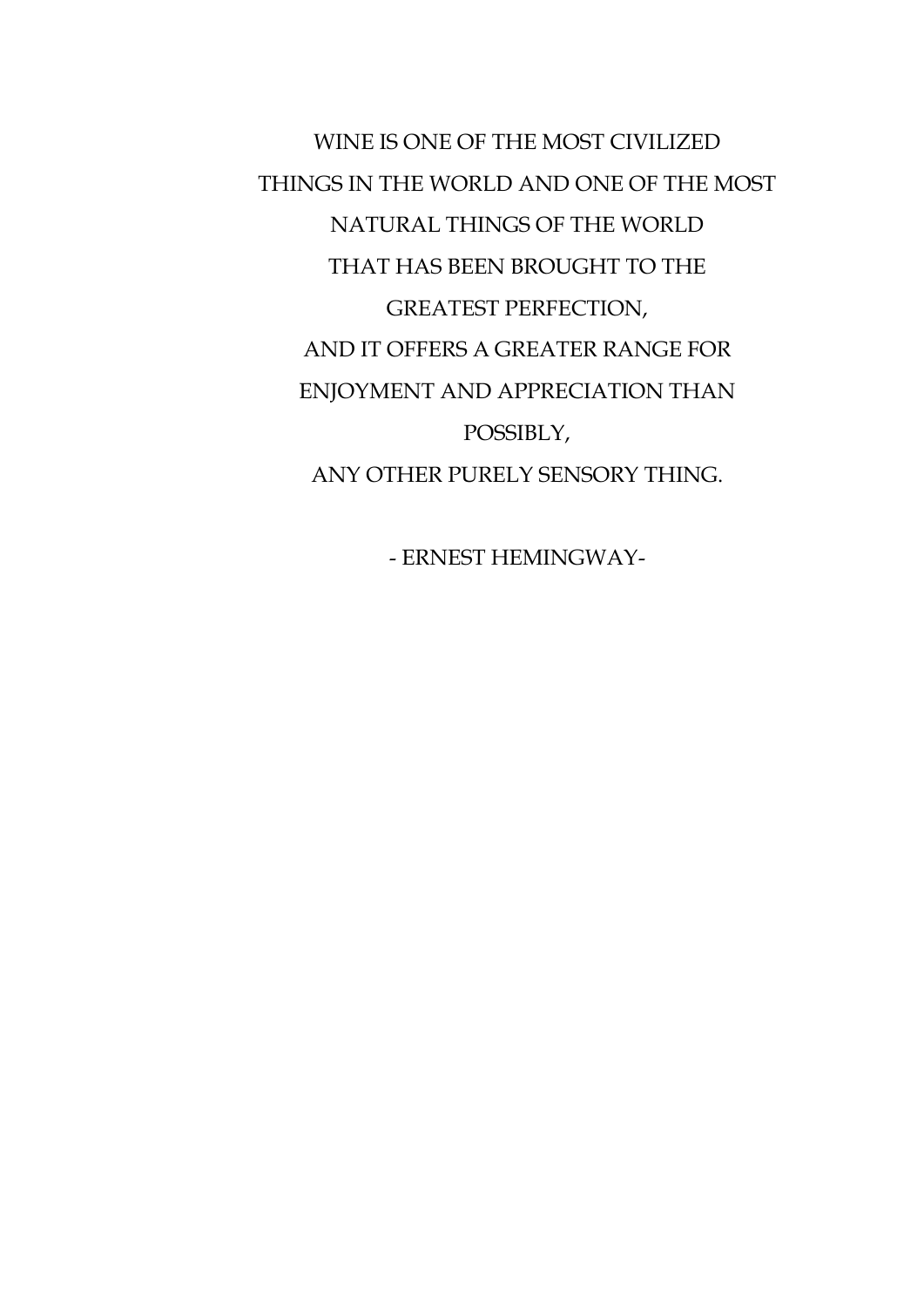WINE IS ONE OF THE MOST CIVILIZED THINGS IN THE WORLD AND ONE OF THE MOST NATURAL THINGS OF THE WORLD THAT HAS BEEN BROUGHT TO THE GREATEST PERFECTION, AND IT OFFERS A GREATER RANGE FOR ENJOYMENT AND APPRECIATION THAN POSSIBLY, ANY OTHER PURELY SENSORY THING.

- ERNEST HEMINGWAY-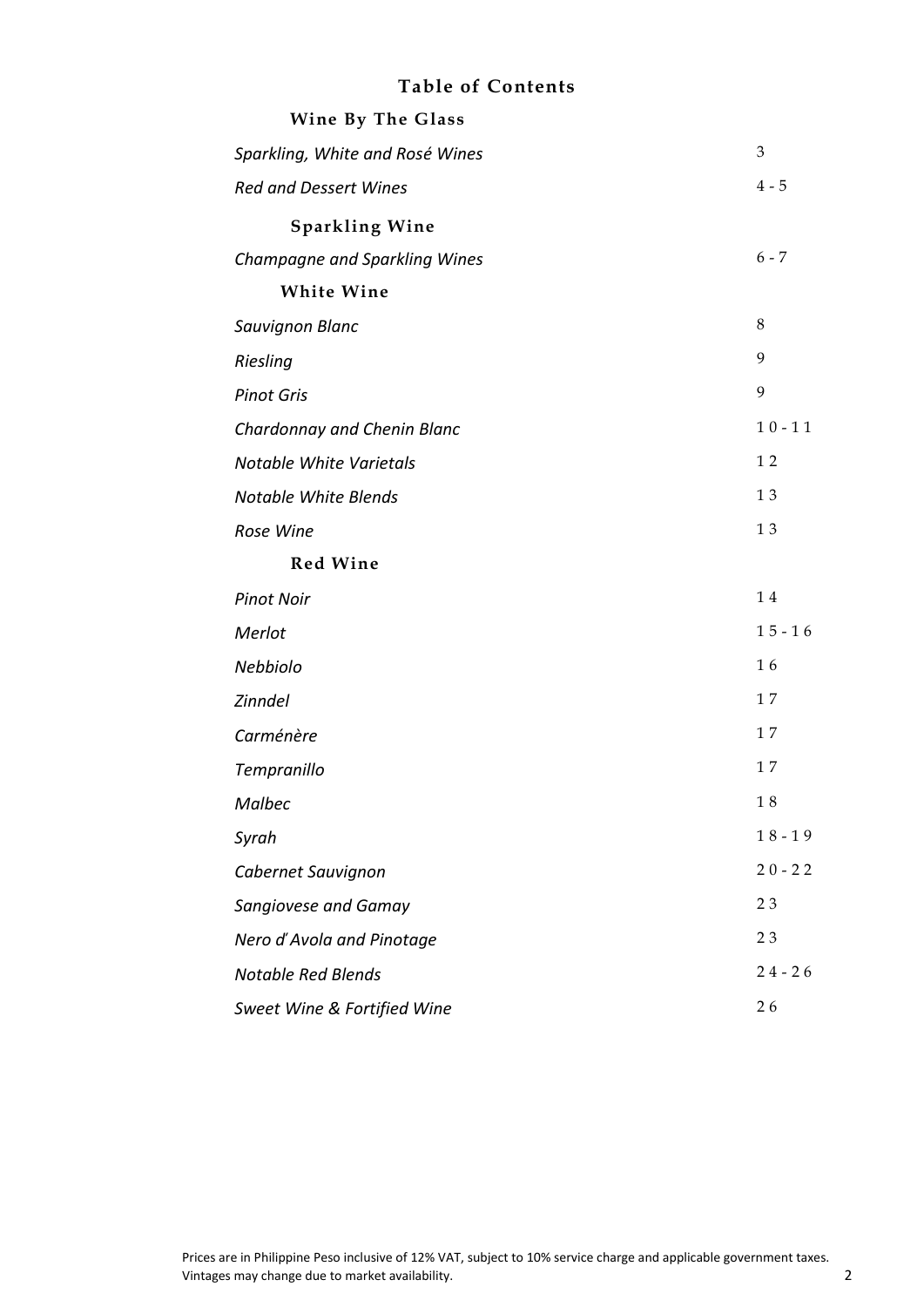### **Table of Contents**

| Wine By The Glass               |           |
|---------------------------------|-----------|
| Sparkling, White and Rosé Wines | 3         |
| <b>Red and Dessert Wines</b>    | $4 - 5$   |
| <b>Sparkling Wine</b>           |           |
| Champagne and Sparkling Wines   | $6 - 7$   |
| <b>White Wine</b>               |           |
| Sauvignon Blanc                 | 8         |
| Riesling                        | 9         |
| <b>Pinot Gris</b>               | 9         |
| Chardonnay and Chenin Blanc     | $10 - 11$ |
| Notable White Varietals         | 12        |
| <b>Notable White Blends</b>     | 13        |
| Rose Wine                       | $1\;3$    |
| <b>Red Wine</b>                 |           |
| <b>Pinot Noir</b>               | 14        |
| Merlot                          | $15 - 16$ |
| Nebbiolo                        | 16        |
| Zinndel                         | 17        |
| Carménère                       | 17        |
| Tempranillo                     | 17        |
| <b>Malbec</b>                   | $1\;8$    |
| Syrah                           | $18 - 19$ |
| Cabernet Sauvignon              | $20 - 22$ |
| Sangiovese and Gamay            | 23        |
| Nero d'Avola and Pinotage       | 23        |
| <b>Notable Red Blends</b>       | $24 - 26$ |
| Sweet Wine & Fortified Wine     | 26        |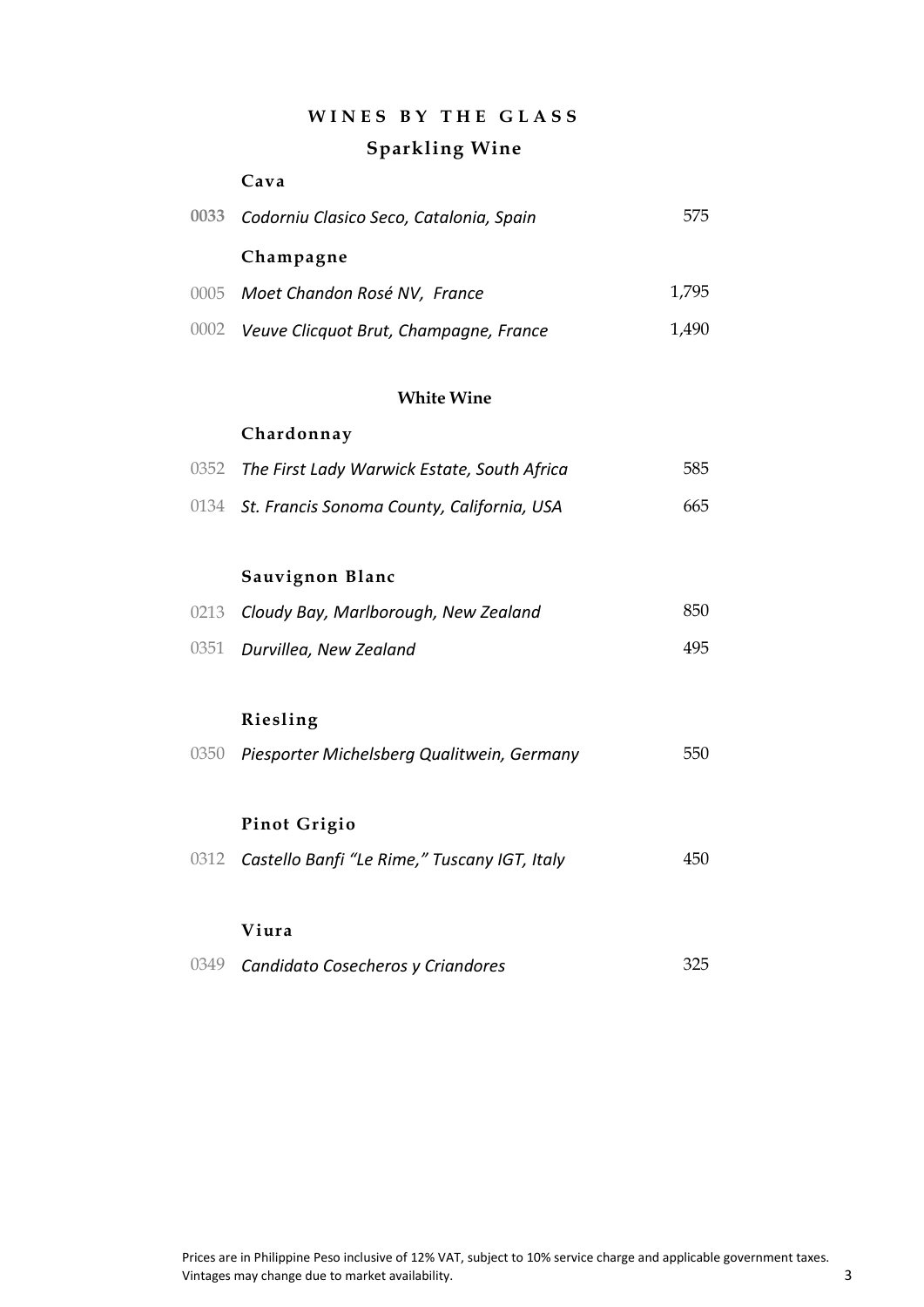### **W I N E S B Y T H E G L A S S**

### **Sparkling Wine**

#### **Cava**

| 0033 Codorniu Clasico Seco, Catalonia, Spain | 575   |
|----------------------------------------------|-------|
| Champagne                                    |       |
| 0005 Moet Chandon Rosé NV, France            | 1.795 |
| 0002 Veuve Clicquot Brut, Champagne, France  | 1.490 |

#### **White Wine**

#### **Chardonnay**

| 0352 The First Lady Warwick Estate, South Africa | 585 |
|--------------------------------------------------|-----|
| 0134 St. Francis Sonoma County, California, USA  | 665 |

### **Sauvignon Blanc**

| 0213 Cloudy Bay, Marlborough, New Zealand | 850. |
|-------------------------------------------|------|
| 0351 Durvillea, New Zealand               | 495. |

#### **Riesling**

| 0350 Piesporter Michelsberg Qualitwein, Germany |  | 550 |
|-------------------------------------------------|--|-----|
|-------------------------------------------------|--|-----|

#### **Pinot Grigio**

0312 *Castello Banfi "Le Rime," Tuscany IGT, Italy* 450

#### **Viura**

0349 *Candidato Cosecheros y Criandores* 325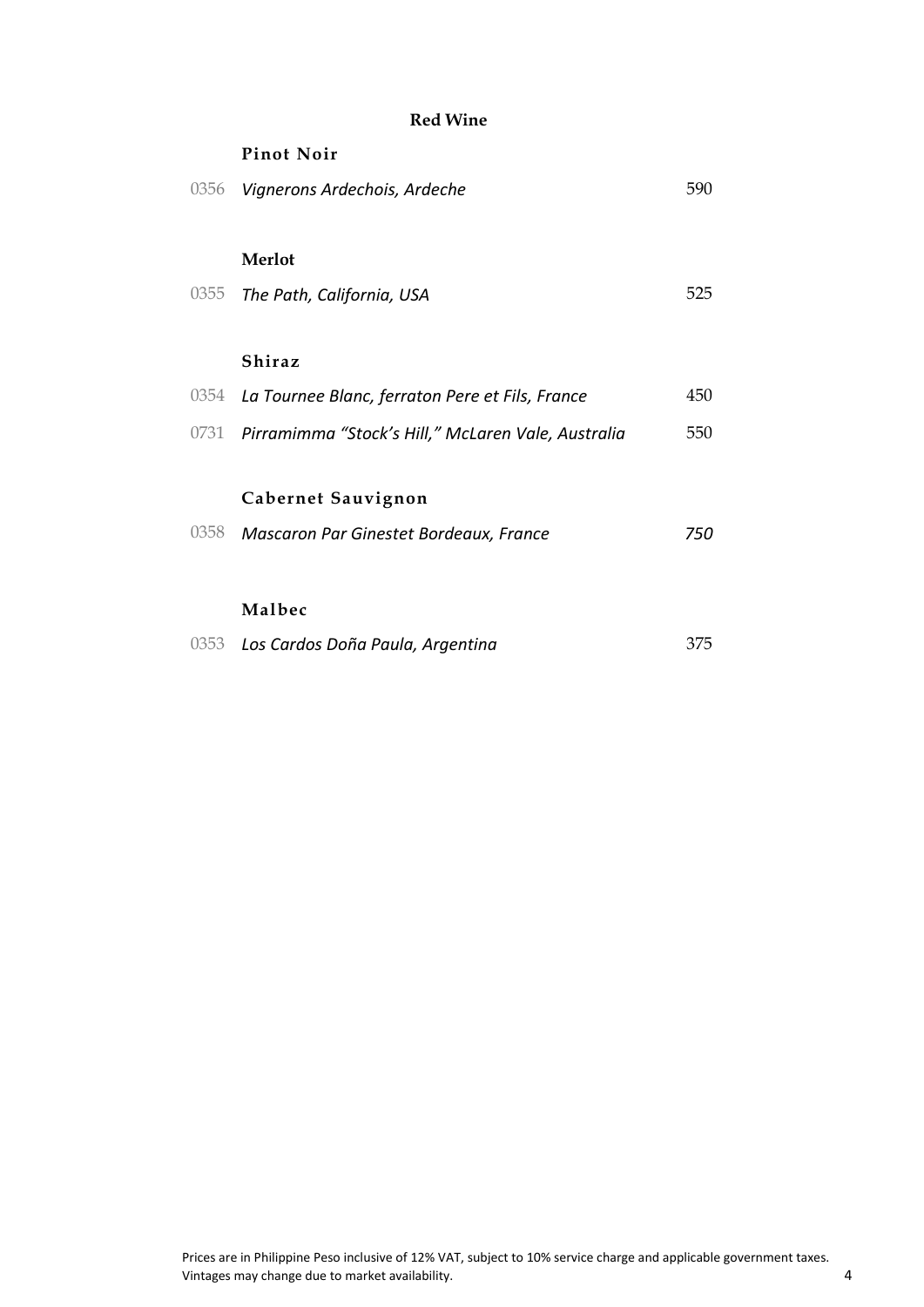#### **Red Wine**

# **Pinot Noir** 0356 *Vignerons Ardechois, Ardeche* 590 **Merlot** 0355 The Path, California, USA 6355 525 **Shiraz** 0354 *La Tournee Blanc, ferraton Pere et Fils, France* 450 0731 *Pirramimma "Stock's Hill," McLaren Vale, Australia* 550 **Cabernet Sauvignon** 0358 *Mascaron Par Ginestet Bordeaux, France 750* **Malbec**

|  | 0353 Los Cardos Doña Paula, Argentina | 375 |
|--|---------------------------------------|-----|
|--|---------------------------------------|-----|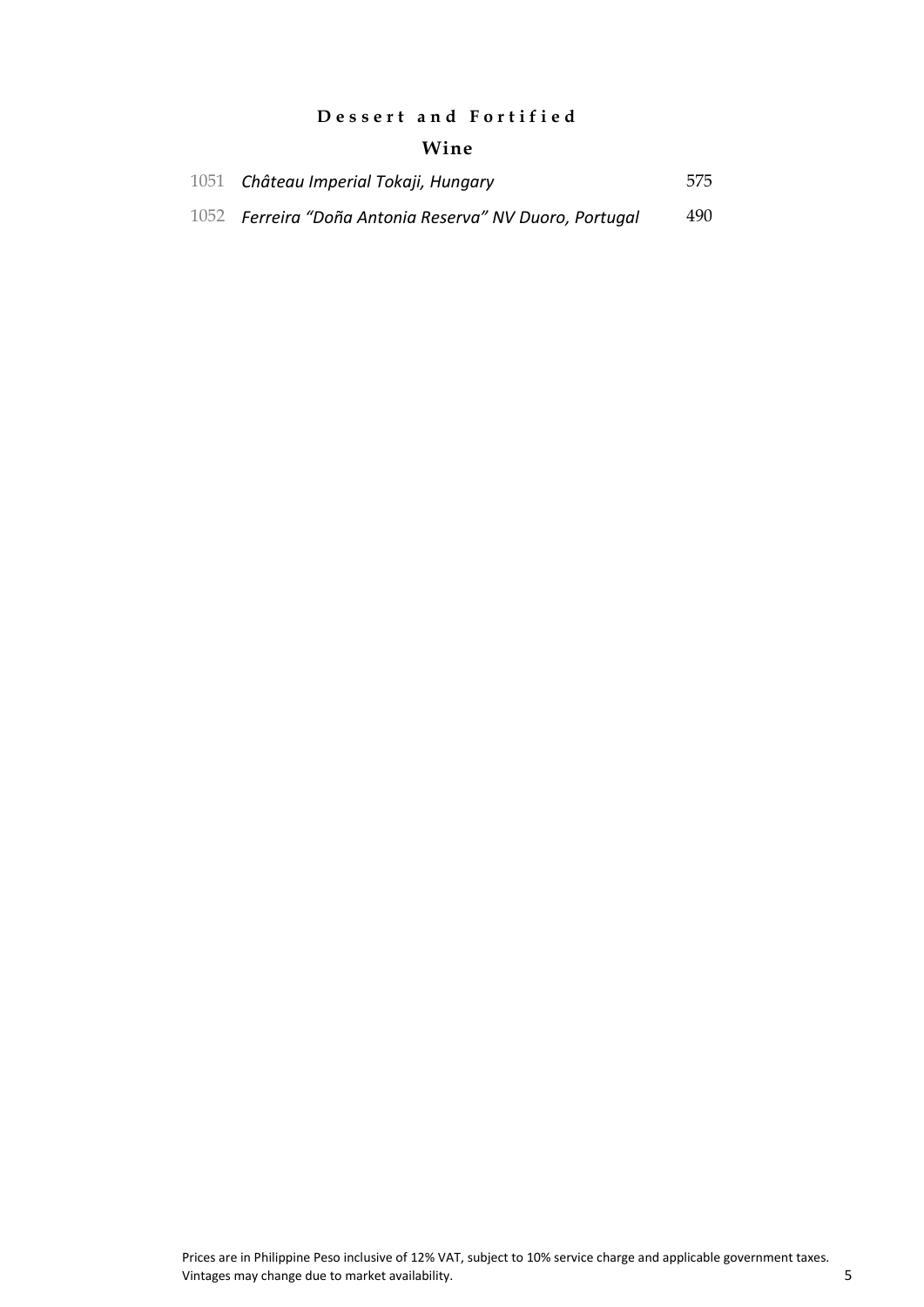### **D e s s e r t a n d F o r t i f i e d**

### **Wine**

| 1051 Château Imperial Tokaji, Hungary                   | 575 |
|---------------------------------------------------------|-----|
| 1052 Ferreira "Doña Antonia Reserva" NV Duoro, Portugal | 490 |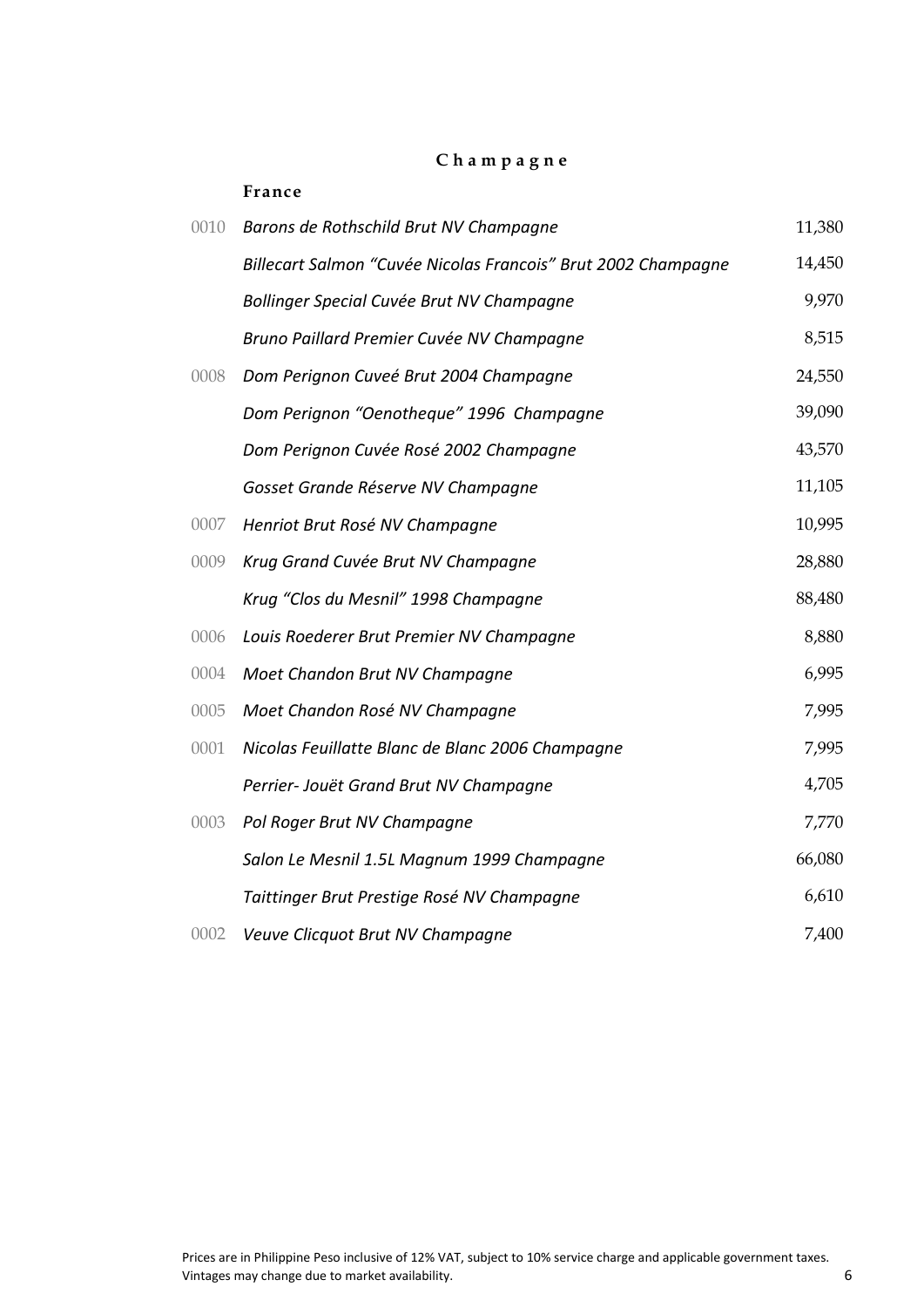### **C h a m p a g n e**

|      | France                                                        |        |
|------|---------------------------------------------------------------|--------|
| 0010 | Barons de Rothschild Brut NV Champagne                        | 11,380 |
|      | Billecart Salmon "Cuvée Nicolas Francois" Brut 2002 Champagne | 14,450 |
|      | Bollinger Special Cuvée Brut NV Champagne                     | 9,970  |
|      | Bruno Paillard Premier Cuvée NV Champagne                     | 8,515  |
| 0008 | Dom Perignon Cuveé Brut 2004 Champagne                        | 24,550 |
|      | Dom Perignon "Oenotheque" 1996 Champagne                      | 39,090 |
|      | Dom Perignon Cuvée Rosé 2002 Champagne                        | 43,570 |
|      | Gosset Grande Réserve NV Champagne                            | 11,105 |
| 0007 | Henriot Brut Rosé NV Champagne                                | 10,995 |
| 0009 | Krug Grand Cuvée Brut NV Champagne                            | 28,880 |
|      | Krug "Clos du Mesnil" 1998 Champagne                          | 88,480 |
| 0006 | Louis Roederer Brut Premier NV Champagne                      | 8,880  |
| 0004 | Moet Chandon Brut NV Champagne                                | 6,995  |
| 0005 | Moet Chandon Rosé NV Champagne                                | 7,995  |
| 0001 | Nicolas Feuillatte Blanc de Blanc 2006 Champagne              | 7,995  |
|      | Perrier- Jouët Grand Brut NV Champagne                        | 4,705  |
| 0003 | Pol Roger Brut NV Champagne                                   | 7,770  |
|      | Salon Le Mesnil 1.5L Magnum 1999 Champagne                    | 66,080 |
|      | Taittinger Brut Prestige Rosé NV Champagne                    | 6,610  |
| 0002 | Veuve Clicquot Brut NV Champagne                              | 7,400  |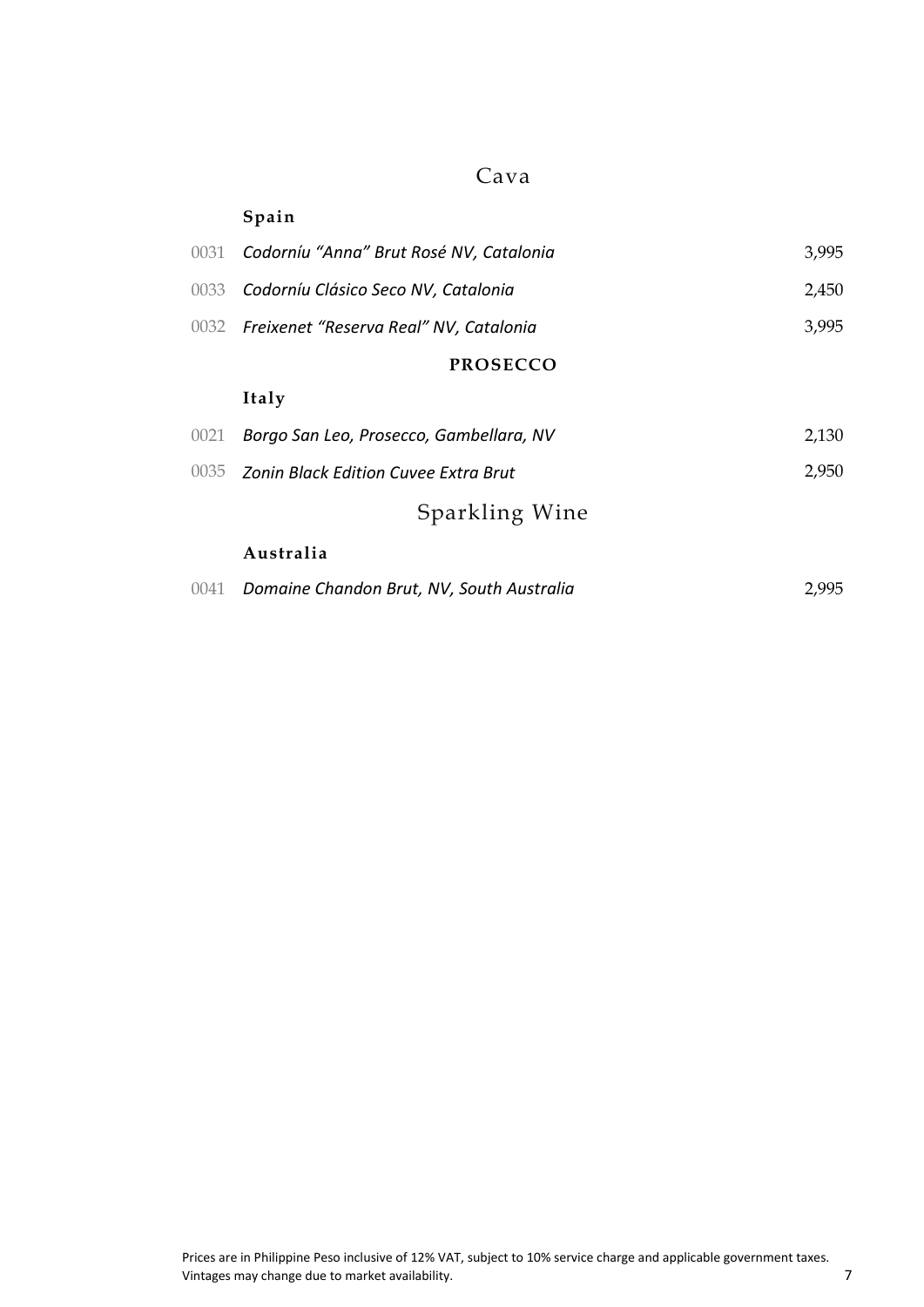### Cava

|      | Spain                                       |       |
|------|---------------------------------------------|-------|
| 0031 | Codorníu "Anna" Brut Rosé NV, Catalonia     | 3,995 |
| 0033 | Codorníu Clásico Seco NV, Catalonia         | 2,450 |
| 0032 | Freixenet "Reserva Real" NV, Catalonia      | 3,995 |
|      | <b>PROSECCO</b>                             |       |
|      | Italy                                       |       |
| 0021 | Borgo San Leo, Prosecco, Gambellara, NV     | 2,130 |
| 0035 | <b>Zonin Black Edition Cuvee Extra Brut</b> | 2,950 |
|      | Sparkling Wine                              |       |
|      | Australia                                   |       |
| 0041 | Domaine Chandon Brut, NV, South Australia   | 2,995 |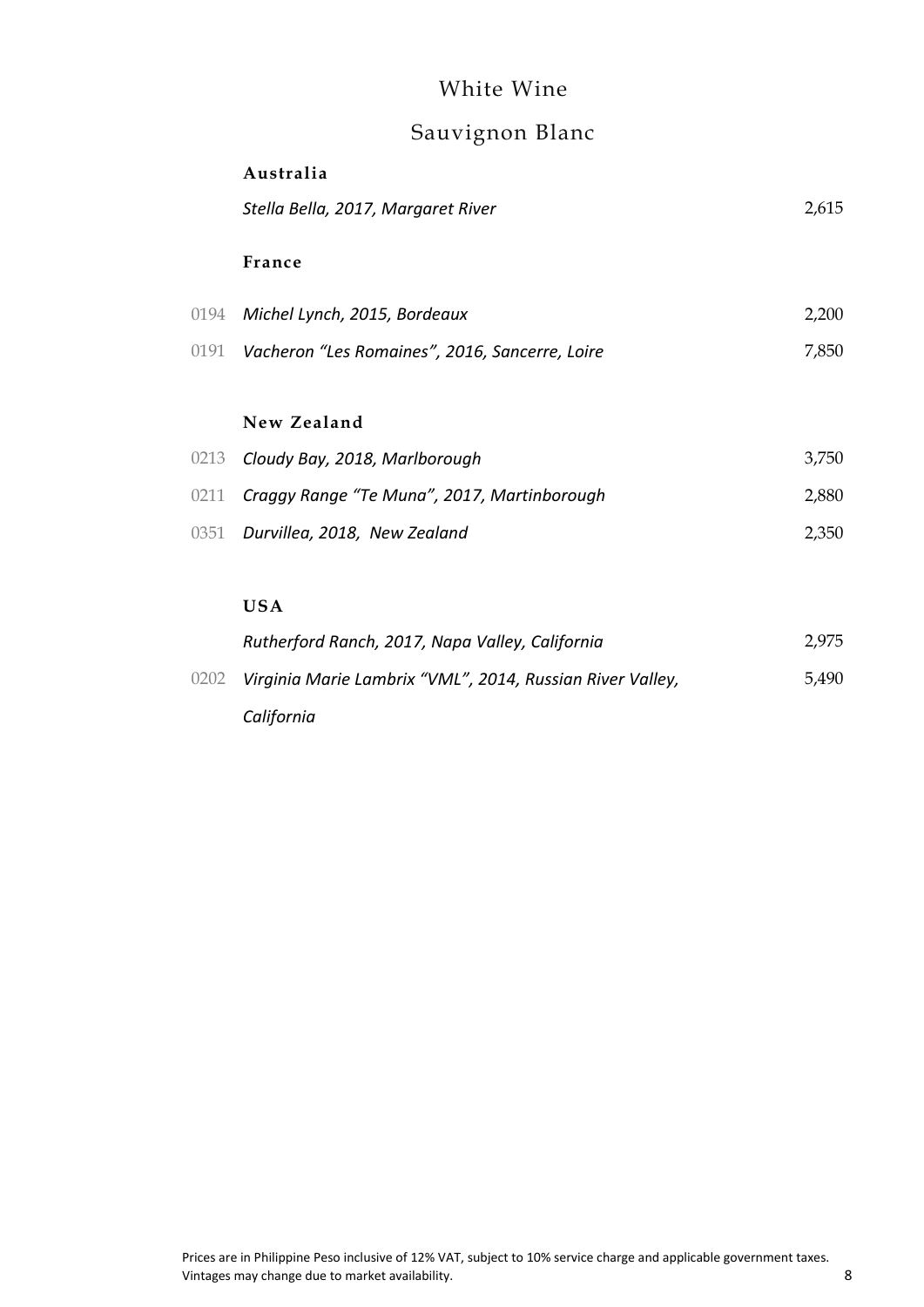### White Wine

# Sauvignon Blanc

|      | Australia                                                 |       |
|------|-----------------------------------------------------------|-------|
|      | Stella Bella, 2017, Margaret River                        | 2,615 |
|      | France                                                    |       |
|      | 0194 Michel Lynch, 2015, Bordeaux                         | 2,200 |
|      | 0191  Vacheron "Les Romaines", 2016, Sancerre, Loire      | 7,850 |
|      | New Zealand                                               |       |
| 0213 | Cloudy Bay, 2018, Marlborough                             | 3,750 |
| 0211 | Craggy Range "Te Muna", 2017, Martinborough               | 2,880 |
| 0351 | Durvillea, 2018, New Zealand                              | 2,350 |
|      |                                                           |       |
|      | <b>USA</b>                                                |       |
|      | Rutherford Ranch, 2017, Napa Valley, California           | 2,975 |
| 0202 | Virginia Marie Lambrix "VML", 2014, Russian River Valley, | 5,490 |

*California*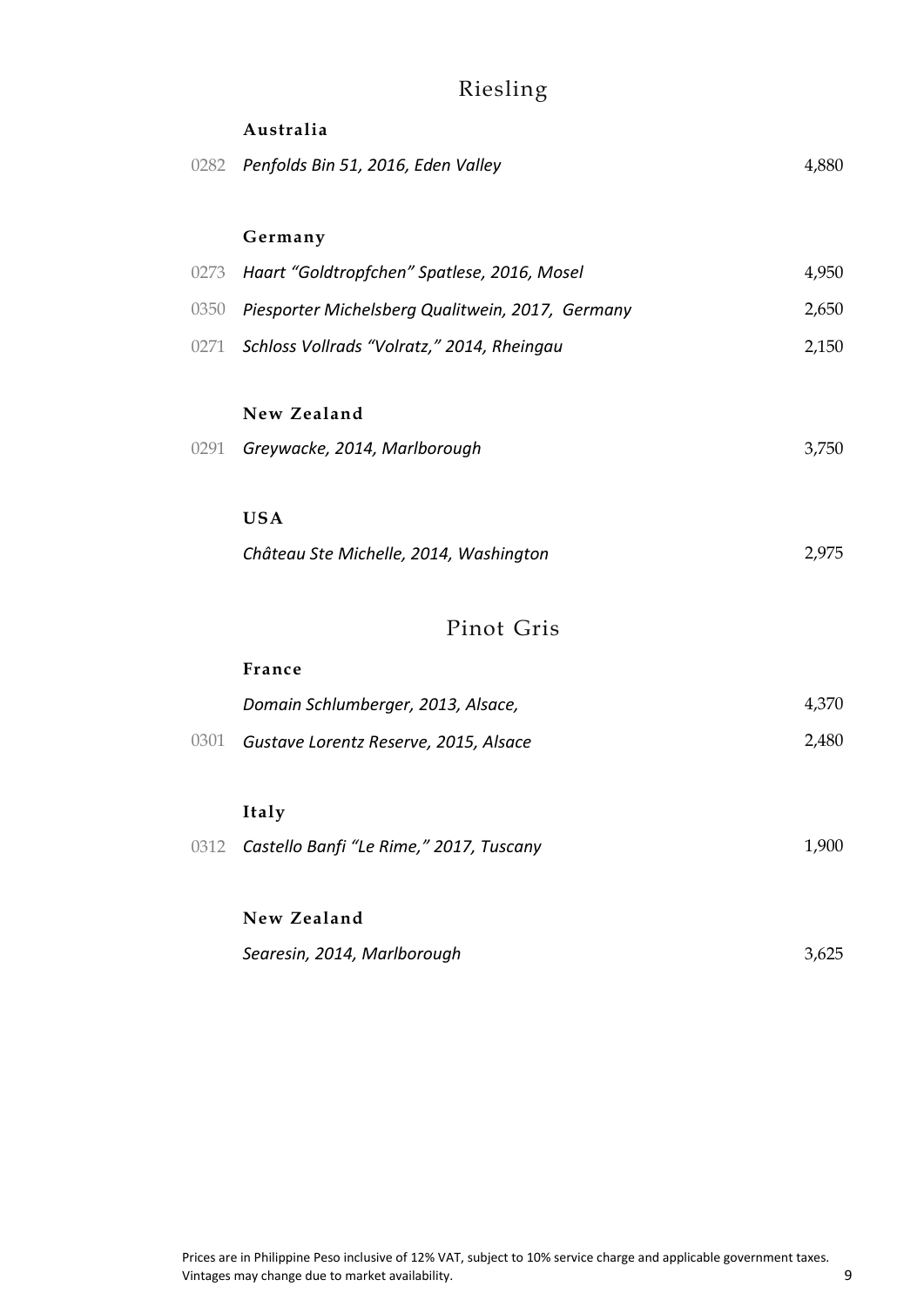# Riesling

|      | Australia                                             |       |
|------|-------------------------------------------------------|-------|
|      | 0282 Penfolds Bin 51, 2016, Eden Valley               | 4,880 |
|      | Germany                                               |       |
| 0273 | Haart "Goldtropfchen" Spatlese, 2016, Mosel           | 4,950 |
|      | 0350 Piesporter Michelsberg Qualitwein, 2017, Germany | 2,650 |
|      | 0271 Schloss Vollrads "Volratz," 2014, Rheingau       | 2,150 |
|      | New Zealand                                           |       |
| 0291 | Greywacke, 2014, Marlborough                          | 3,750 |
|      | <b>USA</b>                                            |       |
|      | Château Ste Michelle, 2014, Washington                | 2,975 |
|      | Pinot Gris                                            |       |
|      | France                                                |       |
|      | Domain Schlumberger, 2013, Alsace,                    | 4,370 |
| 0301 | Gustave Lorentz Reserve, 2015, Alsace                 | 2,480 |
|      | Italy                                                 |       |
| 0312 | Castello Banfi "Le Rime," 2017, Tuscany               | 1,900 |
|      | New Zealand                                           |       |
|      | Searesin, 2014, Marlborough                           | 3,625 |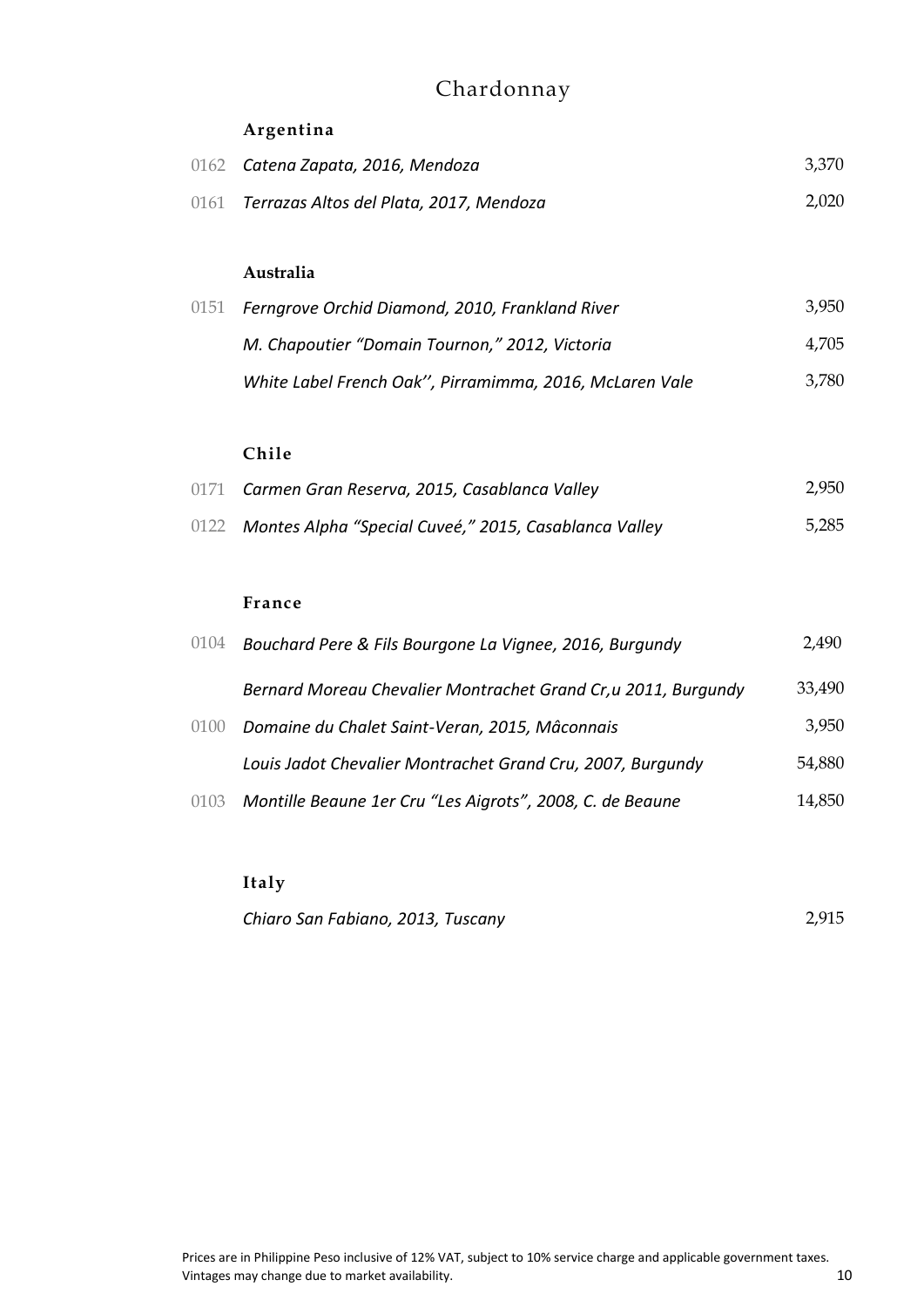# Chardonnay

### **Argentina**

| 0162 | Catena Zapata, 2016, Mendoza                            | 3,370 |
|------|---------------------------------------------------------|-------|
| 0161 | Terrazas Altos del Plata, 2017, Mendoza                 | 2,020 |
|      |                                                         |       |
|      | Australia                                               |       |
| 0151 | Ferngrove Orchid Diamond, 2010, Frankland River         | 3,950 |
|      | M. Chapoutier "Domain Tournon," 2012, Victoria          | 4,705 |
|      | White Label French Oak", Pirramimma, 2016, McLaren Vale | 3,780 |
|      |                                                         |       |
|      | Chile                                                   |       |
| 0171 | Carmen Gran Reserva, 2015, Casablanca Valley            | 2,950 |
| 0122 | Montes Alpha "Special Cuveé," 2015, Casablanca Valley   | 5.285 |
|      |                                                         |       |

#### **France**

| 0104 | Bouchard Pere & Fils Bourgone La Vignee, 2016, Burgundy        | 2,490  |
|------|----------------------------------------------------------------|--------|
|      | Bernard Moreau Chevalier Montrachet Grand Cr, u 2011, Burgundy | 33,490 |
| 0100 | Domaine du Chalet Saint-Veran, 2015, Mâconnais                 | 3,950  |
|      | Louis Jadot Chevalier Montrachet Grand Cru, 2007, Burgundy     | 54,880 |
| 0103 | Montille Beaune 1er Cru "Les Aigrots", 2008, C. de Beaune      | 14,850 |

**Italy**

*Chiaro San Fabiano, 2013, Tuscany* 2,915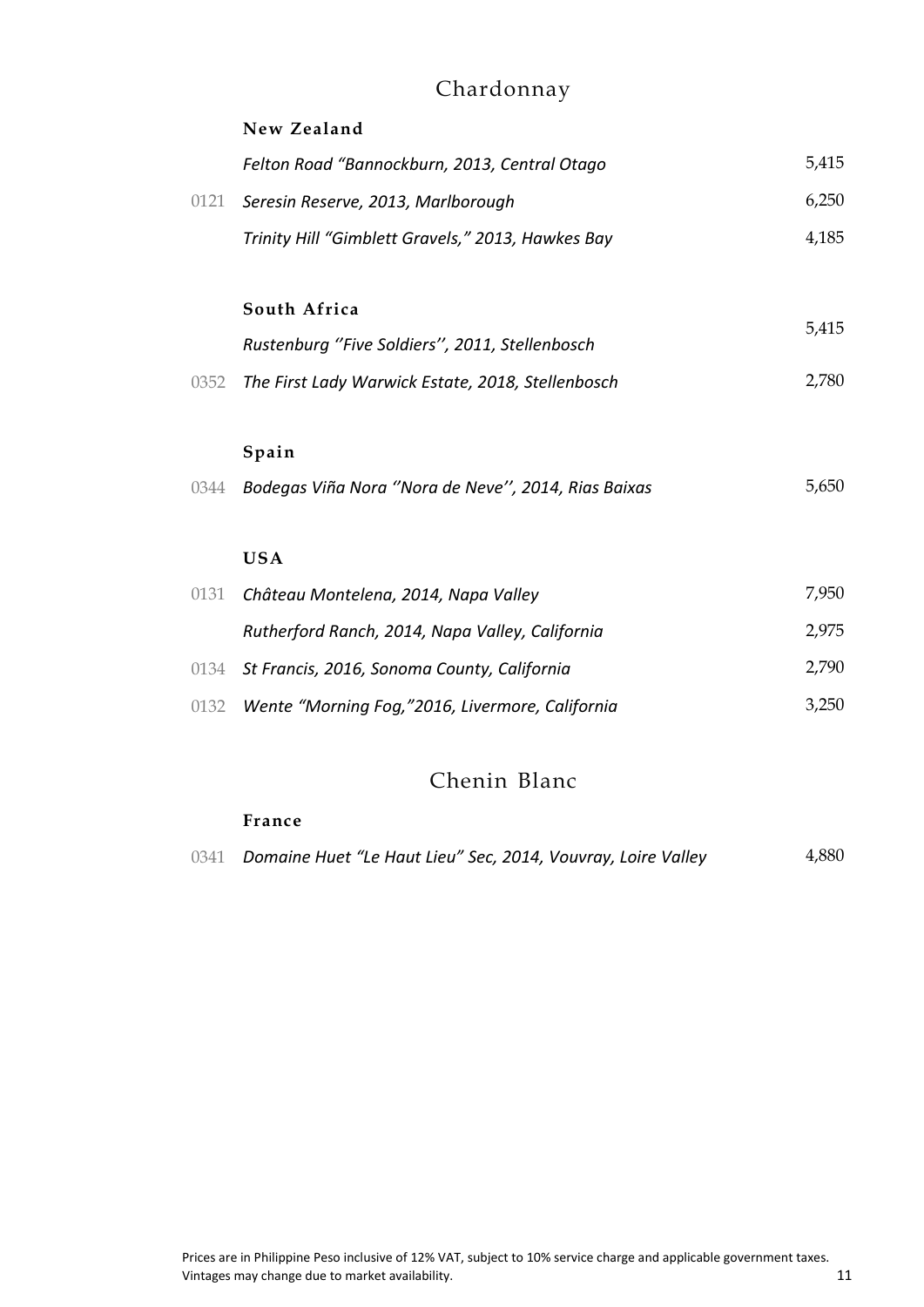# Chardonnay

|      | New Zealand                                         |       |
|------|-----------------------------------------------------|-------|
|      | Felton Road "Bannockburn, 2013, Central Otago       | 5,415 |
| 0121 | Seresin Reserve, 2013, Marlborough                  | 6,250 |
|      | Trinity Hill "Gimblett Gravels," 2013, Hawkes Bay   | 4,185 |
|      |                                                     |       |
|      | South Africa                                        | 5,415 |
|      | Rustenburg "Five Soldiers", 2011, Stellenbosch      |       |
| 0352 | The First Lady Warwick Estate, 2018, Stellenbosch   | 2,780 |
|      |                                                     |       |
|      | Spain                                               |       |
| 0344 | Bodegas Viña Nora "Nora de Neve", 2014, Rias Baixas | 5,650 |
|      |                                                     |       |
|      | <b>USA</b>                                          |       |
| 0131 | Château Montelena, 2014, Napa Valley                | 7,950 |
|      | Rutherford Ranch, 2014, Napa Valley, California     | 2,975 |
| 0134 | St Francis, 2016, Sonoma County, California         | 2,790 |
| 0132 | Wente "Morning Fog,"2016, Livermore, California     | 3,250 |

### Chenin Blanc

#### **France**

|  | 0341 Domaine Huet "Le Haut Lieu" Sec, 2014, Vouvray, Loire Valley | 4,880 |
|--|-------------------------------------------------------------------|-------|
|--|-------------------------------------------------------------------|-------|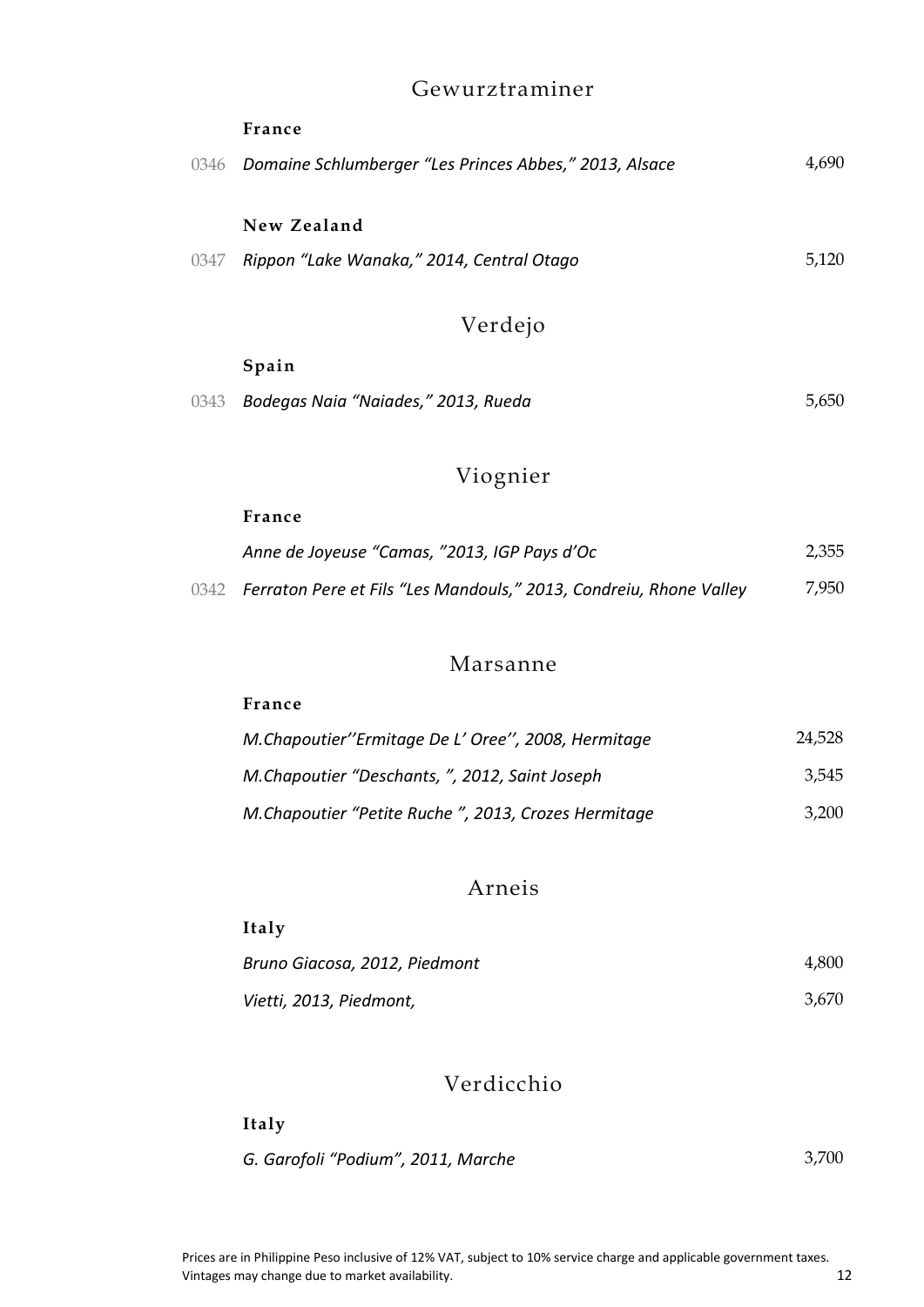### Gewurztraminer

|      | France                                                 |       |
|------|--------------------------------------------------------|-------|
| 0346 | Domaine Schlumberger "Les Princes Abbes," 2013, Alsace | 4,690 |
|      | New Zealand                                            |       |
| 0347 | Rippon "Lake Wanaka," 2014, Central Otago              | 5,120 |
|      | Verdejo                                                |       |
|      | Spain                                                  |       |
| 0343 | Bodegas Naia "Naiades," 2013, Rueda                    | 5,650 |

# Viognier

#### **France**

| Anne de Joyeuse "Camas, "2013, IGP Pays d'Oc                            | 2,355 |
|-------------------------------------------------------------------------|-------|
| 0342 Ferraton Pere et Fils "Les Mandouls," 2013, Condreiu, Rhone Valley | 7,950 |

### Marsanne

### **France**

| M.Chapoutier"Ermitage De L'Oree", 2008, Hermitage   | 24,528 |
|-----------------------------------------------------|--------|
| M.Chapoutier "Deschants, ", 2012, Saint Joseph      | 3.545  |
| M.Chapoutier "Petite Ruche", 2013, Crozes Hermitage | 3.200  |

### Arneis

| Italy                         |       |
|-------------------------------|-------|
| Bruno Giacosa, 2012, Piedmont | 4,800 |
| Vietti, 2013, Piedmont,       | 3.670 |

### Verdicchio

#### **Italy**

| G. Garofoli "Podium", 2011, Marche | 3,700 |
|------------------------------------|-------|
|------------------------------------|-------|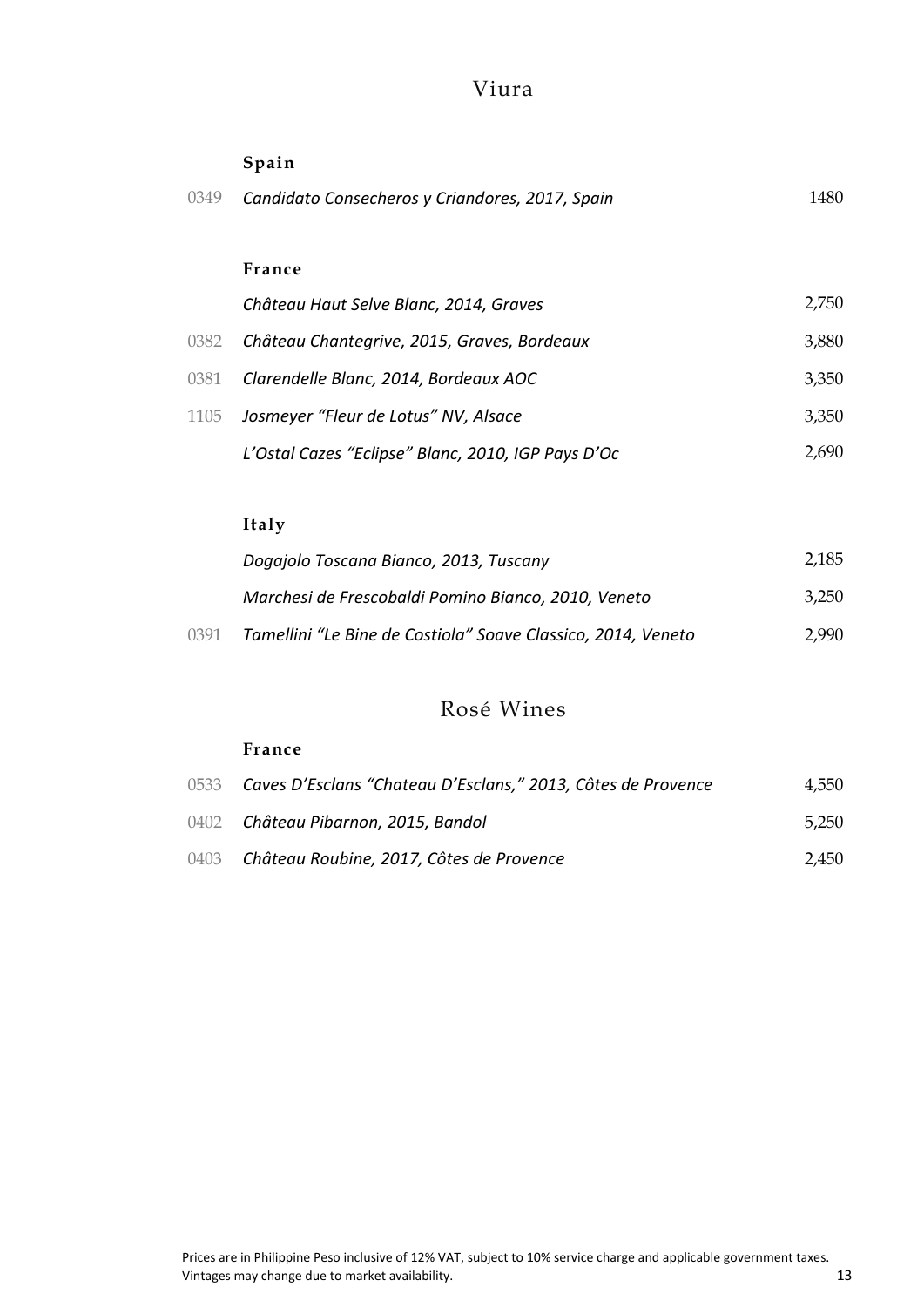### Viura

### **Spain**

| 0349 | Candidato Consecheros y Criandores, 2017, Spain | 1480 |
|------|-------------------------------------------------|------|
|      |                                                 |      |

### **France**

|      | Château Haut Selve Blanc, 2014, Graves             | 2,750 |
|------|----------------------------------------------------|-------|
| 0382 | Château Chantegrive, 2015, Graves, Bordeaux        | 3,880 |
|      | 0381 Clarendelle Blanc, 2014, Bordeaux AOC         | 3,350 |
|      | 1105 Josmeyer "Fleur de Lotus" NV, Alsace          | 3,350 |
|      | L'Ostal Cazes "Eclipse" Blanc, 2010, IGP Pays D'Oc | 2.690 |

### **Italy**

|      | Dogajolo Toscana Bianco, 2013, Tuscany                       | 2,185 |
|------|--------------------------------------------------------------|-------|
|      | Marchesi de Frescobaldi Pomino Bianco, 2010, Veneto          | 3.250 |
| 0391 | Tamellini "Le Bine de Costiola" Soave Classico, 2014, Veneto | 2.990 |

### Rosé Wines

#### **France**

| 0533 Caves D'Esclans "Chateau D'Esclans," 2013, Côtes de Provence | 4,550 |
|-------------------------------------------------------------------|-------|
| 0402 Château Pibarnon, 2015, Bandol                               | 5.250 |
| 0403 Château Roubine, 2017, Côtes de Provence                     | 2.450 |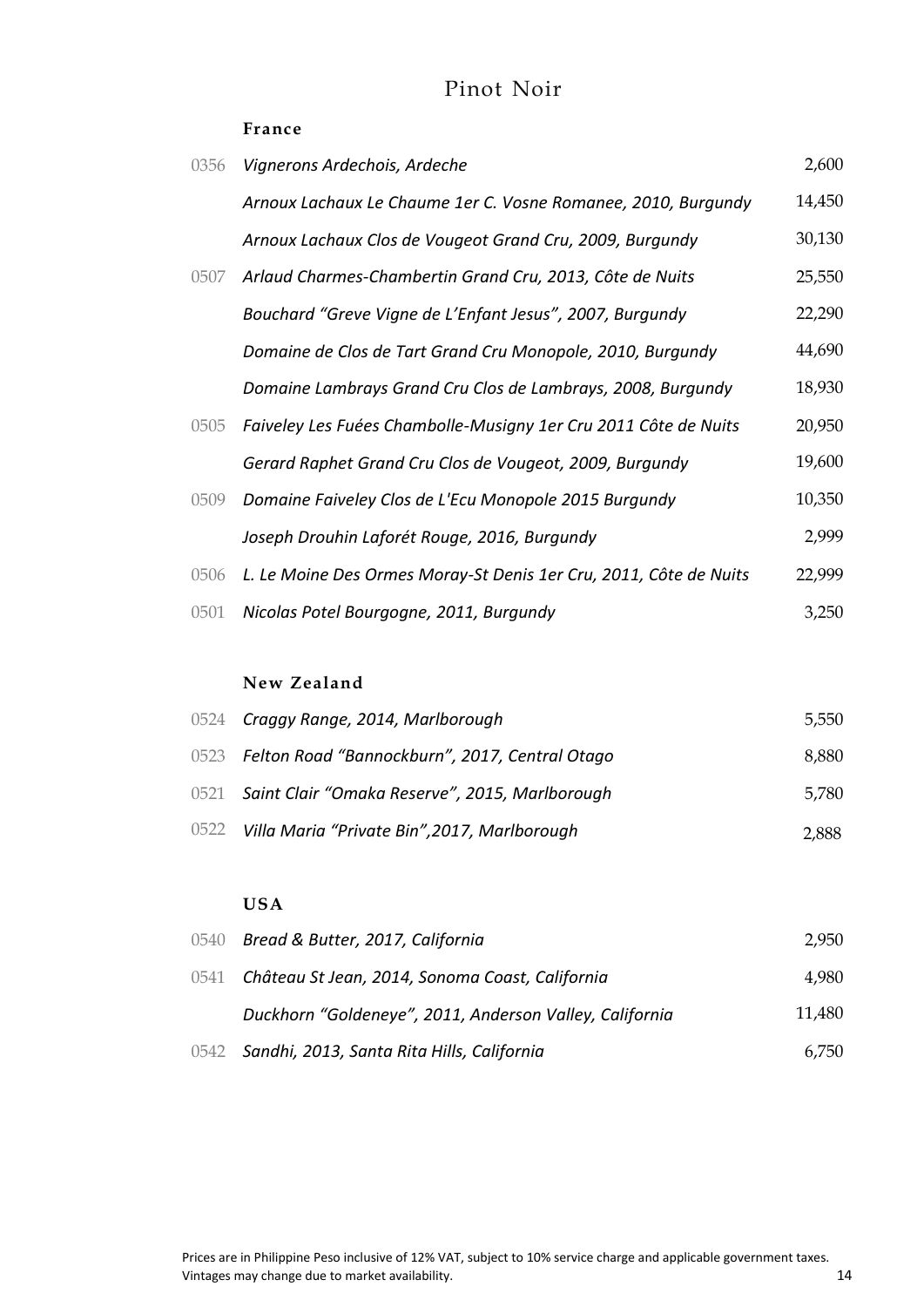### Pinot Noir

#### **France**

| 0356 | Vignerons Ardechois, Ardeche                                      | 2,600  |
|------|-------------------------------------------------------------------|--------|
|      | Arnoux Lachaux Le Chaume 1er C. Vosne Romanee, 2010, Burgundy     | 14,450 |
|      | Arnoux Lachaux Clos de Vougeot Grand Cru, 2009, Burgundy          | 30,130 |
| 0507 | Arlaud Charmes-Chambertin Grand Cru, 2013, Côte de Nuits          | 25,550 |
|      | Bouchard "Greve Vigne de L'Enfant Jesus", 2007, Burgundy          | 22,290 |
|      | Domaine de Clos de Tart Grand Cru Monopole, 2010, Burgundy        | 44,690 |
|      | Domaine Lambrays Grand Cru Clos de Lambrays, 2008, Burgundy       | 18,930 |
| 0505 | Faiveley Les Fuées Chambolle-Musigny 1er Cru 2011 Côte de Nuits   | 20,950 |
|      | Gerard Raphet Grand Cru Clos de Vougeot, 2009, Burgundy           | 19,600 |
| 0509 | Domaine Faiveley Clos de L'Ecu Monopole 2015 Burgundy             | 10,350 |
|      | Joseph Drouhin Laforét Rouge, 2016, Burgundy                      | 2,999  |
| 0506 | L. Le Moine Des Ormes Moray-St Denis 1er Cru, 2011, Côte de Nuits | 22,999 |
| 0501 | Nicolas Potel Bourgogne, 2011, Burgundy                           | 3,250  |

#### **New Zealand**

| 0524 Craggy Range, 2014, Marlborough                | 5,550 |
|-----------------------------------------------------|-------|
| 0523 Felton Road "Bannockburn", 2017, Central Otago | 8,880 |
| 0521 Saint Clair "Omaka Reserve", 2015, Marlborough | 5,780 |
| 0522 Villa Maria "Private Bin", 2017, Marlborough   | 2,888 |

#### **USA**

| 0540 Bread & Butter, 2017, California                   | 2,950  |
|---------------------------------------------------------|--------|
| 0541 Château St Jean, 2014, Sonoma Coast, California    | 4,980  |
| Duckhorn "Goldeneye", 2011, Anderson Valley, California | 11,480 |
| 0542 Sandhi, 2013, Santa Rita Hills, California         | 6.750  |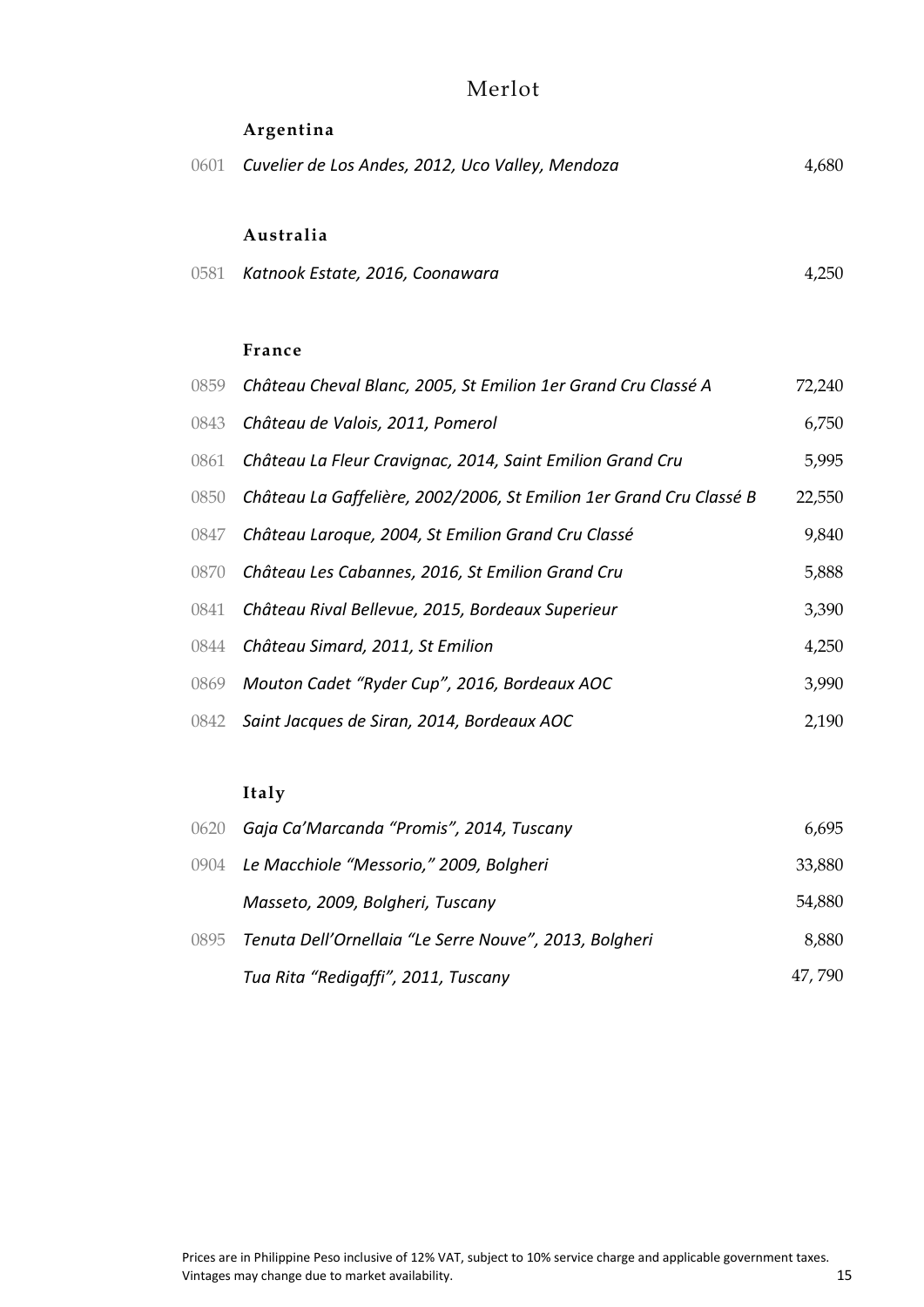### Merlot

|      | Argentina                                                           |        |
|------|---------------------------------------------------------------------|--------|
| 0601 | Cuvelier de Los Andes, 2012, Uco Valley, Mendoza                    | 4,680  |
|      |                                                                     |        |
|      | Australia                                                           |        |
| 0581 | Katnook Estate, 2016, Coonawara                                     | 4,250  |
|      |                                                                     |        |
|      | France                                                              |        |
| 0859 | Château Cheval Blanc, 2005, St Emilion 1er Grand Cru Classé A       | 72,240 |
| 0843 | Château de Valois, 2011, Pomerol                                    | 6,750  |
| 0861 | Château La Fleur Cravignac, 2014, Saint Emilion Grand Cru           | 5,995  |
| 0850 | Château La Gaffelière, 2002/2006, St Emilion 1er Grand Cru Classé B | 22,550 |
| 0847 | Château Laroque, 2004, St Emilion Grand Cru Classé                  | 9,840  |
| 0870 | Château Les Cabannes, 2016, St Emilion Grand Cru                    | 5,888  |
| 0841 | Château Rival Bellevue, 2015, Bordeaux Superieur                    | 3,390  |
| 0844 | Château Simard, 2011, St Emilion                                    | 4,250  |
| 0869 | Mouton Cadet "Ryder Cup", 2016, Bordeaux AOC                        | 3,990  |
| 0842 | Saint Jacques de Siran, 2014, Bordeaux AOC                          | 2,190  |
|      |                                                                     |        |

### **Italy**

| 0620 | Gaja Ca'Marcanda "Promis", 2014, Tuscany                    | 6,695  |
|------|-------------------------------------------------------------|--------|
|      | 0904 Le Macchiole "Messorio," 2009, Bolgheri                | 33,880 |
|      | Masseto, 2009, Bolgheri, Tuscany                            | 54,880 |
|      | 0895 Tenuta Dell'Ornellaia "Le Serre Nouve", 2013, Bolgheri | 8,880  |
|      | Tua Rita "Redigaffi", 2011, Tuscany                         | 47,790 |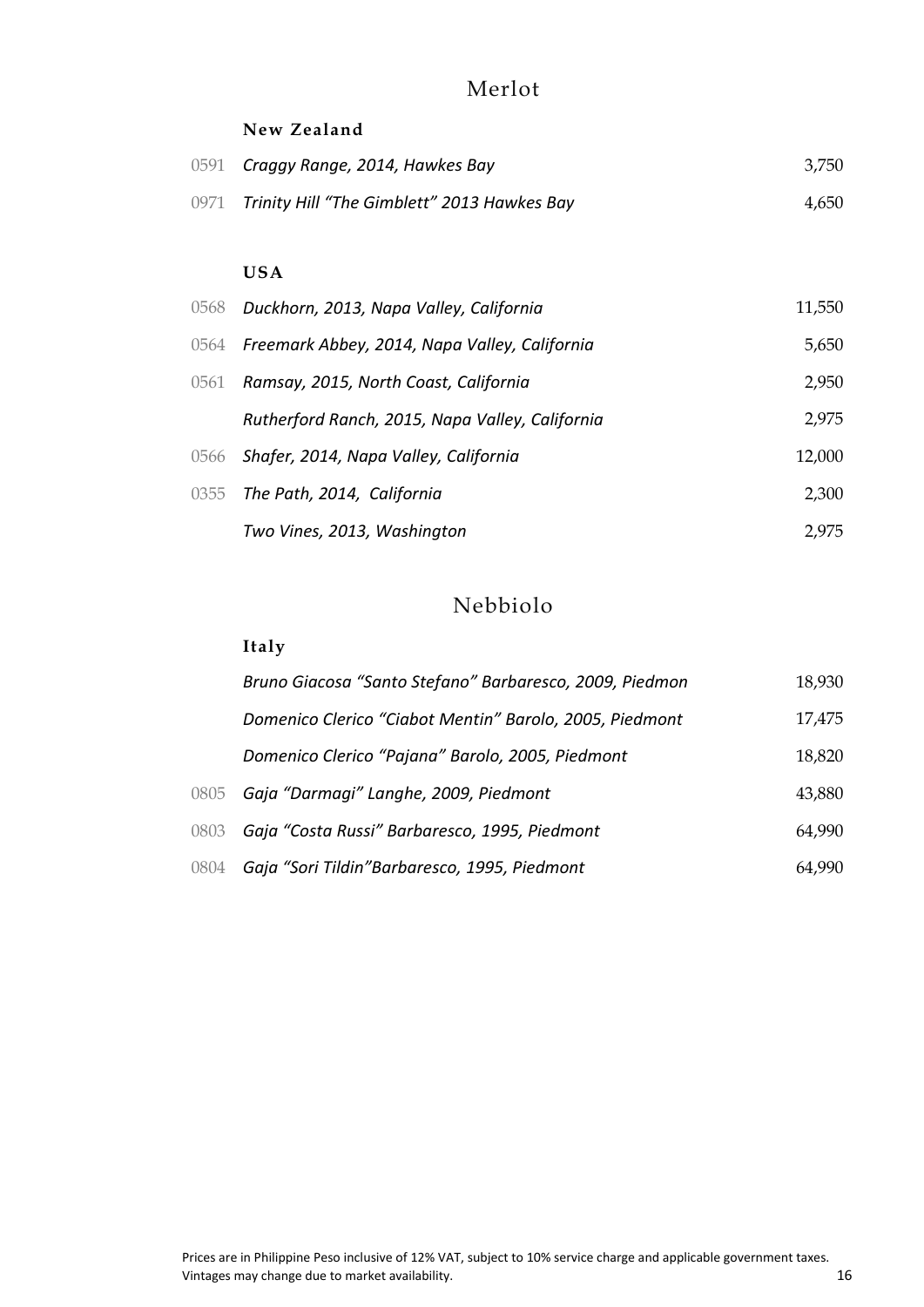### Merlot

#### **New Zealand**

| 0591 Craggy Range, 2014, Hawkes Bay              | 3,750 |
|--------------------------------------------------|-------|
| 0971 Trinity Hill "The Gimblett" 2013 Hawkes Bay | 4,650 |

#### **USA**

| 0568 Duckhorn, 2013, Napa Valley, California       | 11,550 |
|----------------------------------------------------|--------|
| 0564 Freemark Abbey, 2014, Napa Valley, California | 5,650  |
| 0561 Ramsay, 2015, North Coast, California         | 2,950  |
| Rutherford Ranch, 2015, Napa Valley, California    | 2,975  |
| 0566 Shafer, 2014, Napa Valley, California         | 12,000 |
| 0355 The Path, 2014, California                    | 2,300  |
| Two Vines, 2013, Washington                        | 2,975  |

### Nebbiolo

### **Italy**

|      | Bruno Giacosa "Santo Stefano" Barbaresco, 2009, Piedmon | 18,930 |
|------|---------------------------------------------------------|--------|
|      | Domenico Clerico "Ciabot Mentin" Barolo, 2005, Piedmont | 17,475 |
|      | Domenico Clerico "Pajana" Barolo, 2005, Piedmont        | 18,820 |
|      | 0805 Gaja "Darmagi" Langhe, 2009, Piedmont              | 43,880 |
|      | 0803 Gaja "Costa Russi" Barbaresco, 1995, Piedmont      | 64,990 |
| 0804 | Gaja "Sori Tildin" Barbaresco, 1995, Piedmont           | 64.990 |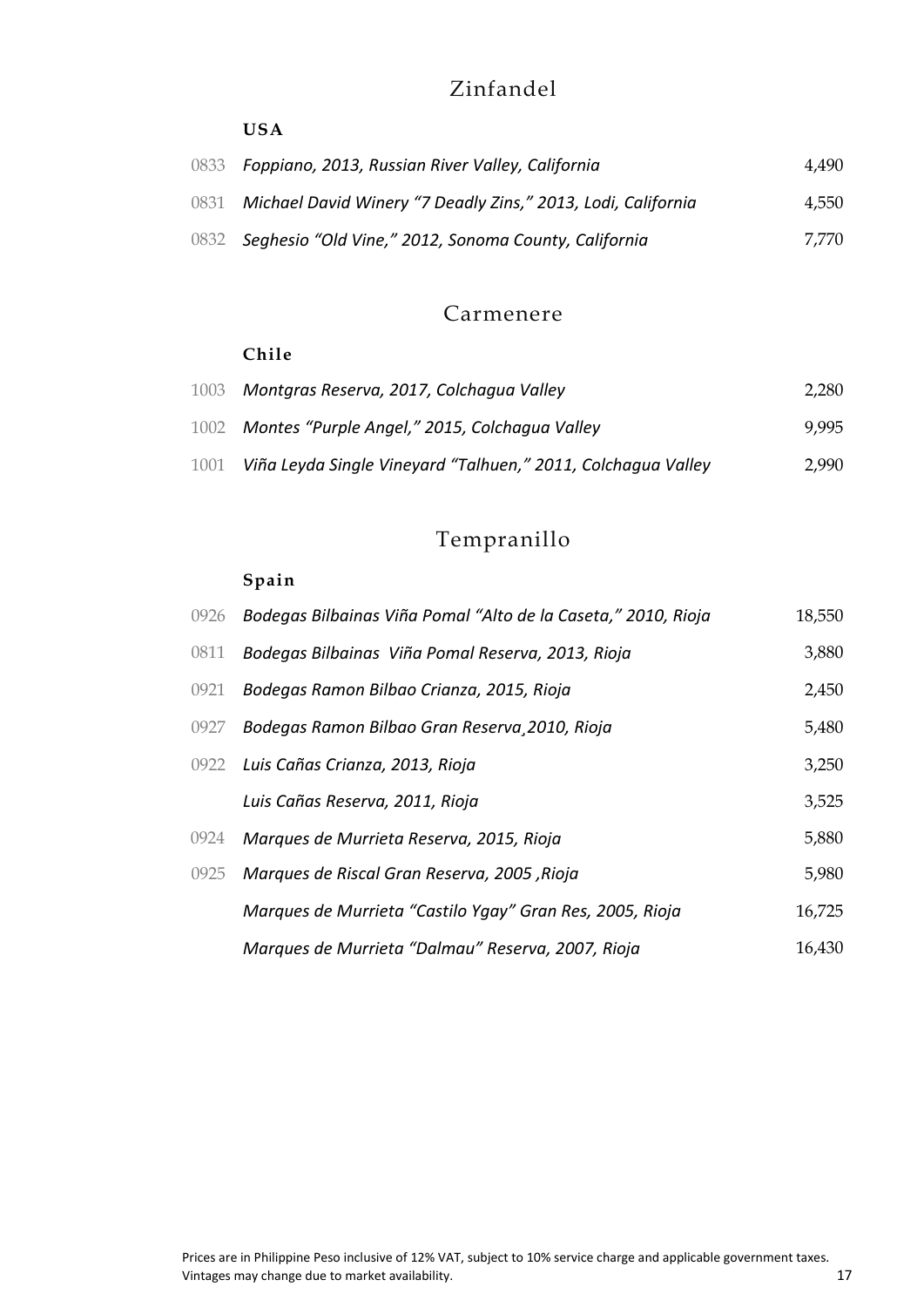### Zinfandel

#### **USA**

| 0833 Foppiano, 2013, Russian River Valley, California             | 4.490 |
|-------------------------------------------------------------------|-------|
| 0831 Michael David Winery "7 Deadly Zins," 2013, Lodi, California | 4,550 |
| 0832 Seghesio "Old Vine," 2012, Sonoma County, California         | 7.770 |

### Carmenere

#### **Chile**

| 1003 Montgras Reserva, 2017, Colchagua Valley                     | 2,280 |
|-------------------------------------------------------------------|-------|
| 1002 Montes "Purple Angel," 2015, Colchagua Valley                | 9.995 |
| 1001 Viña Leyda Single Vineyard "Talhuen," 2011, Colchagua Valley | 2.990 |

# Tempranillo

### **Spain**

| 0926 | Bodegas Bilbainas Viña Pomal "Alto de la Caseta," 2010, Rioja | 18,550 |
|------|---------------------------------------------------------------|--------|
| 0811 | Bodegas Bilbainas Viña Pomal Reserva, 2013, Rioja             | 3,880  |
| 0921 | Bodegas Ramon Bilbao Crianza, 2015, Rioja                     | 2,450  |
| 0927 | Bodegas Ramon Bilbao Gran Reserva 2010, Rioja                 | 5,480  |
|      | 0922 Luis Cañas Crianza, 2013, Rioja                          | 3,250  |
|      | Luis Cañas Reserva, 2011, Rioja                               | 3,525  |
| 0924 | Marques de Murrieta Reserva, 2015, Rioja                      | 5,880  |
| 0925 | Marques de Riscal Gran Reserva, 2005, Rioja                   | 5,980  |
|      | Marques de Murrieta "Castilo Ygay" Gran Res, 2005, Rioja      | 16,725 |
|      | Marques de Murrieta "Dalmau" Reserva, 2007, Rioja             | 16,430 |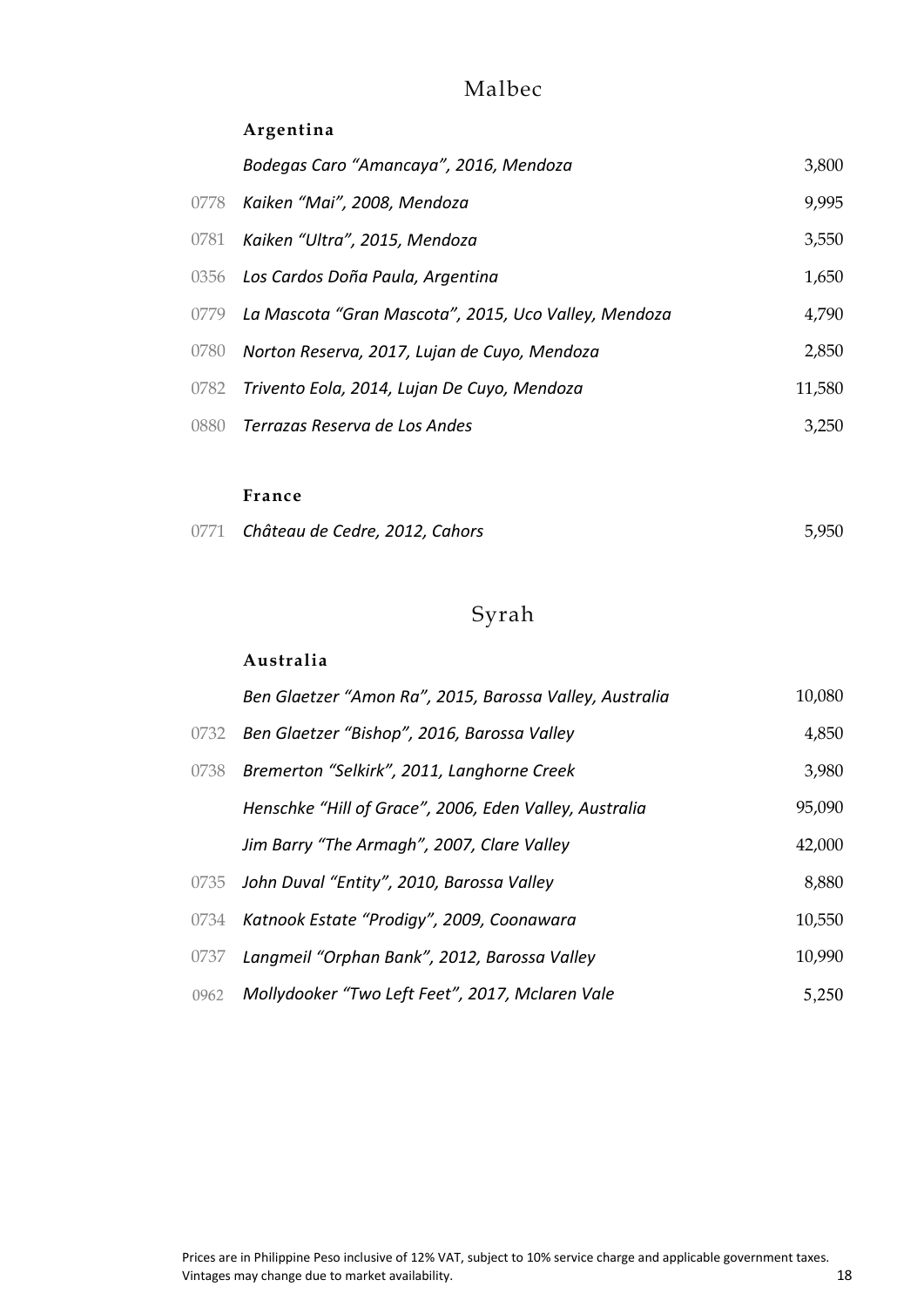### Malbec

### **Argentina**

| Bodegas Caro "Amancaya", 2016, Mendoza                    | 3,800  |
|-----------------------------------------------------------|--------|
| 0778 Kaiken "Mai", 2008, Mendoza                          | 9,995  |
| 0781 Kaiken "Ultra", 2015, Mendoza                        | 3,550  |
| 0356 Los Cardos Doña Paula, Argentina                     | 1,650  |
| 0779 La Mascota "Gran Mascota", 2015, Uco Valley, Mendoza | 4,790  |
| 0780 Norton Reserva, 2017, Lujan de Cuyo, Mendoza         | 2,850  |
| 0782 Trivento Eola, 2014, Lujan De Cuyo, Mendoza          | 11,580 |
| 0880 Terrazas Reserva de Los Andes                        | 3,250  |
|                                                           |        |

#### **France**

|  | 0771 Château de Cedre, 2012, Cahors |  | 5,950 |
|--|-------------------------------------|--|-------|
|--|-------------------------------------|--|-------|

# Syrah

### **Australia**

|      | Ben Glaetzer "Amon Ra", 2015, Barossa Valley, Australia | 10,080 |
|------|---------------------------------------------------------|--------|
| 0732 | Ben Glaetzer "Bishop", 2016, Barossa Valley             | 4,850  |
| 0738 | Bremerton "Selkirk", 2011, Langhorne Creek              | 3,980  |
|      | Henschke "Hill of Grace", 2006, Eden Valley, Australia  | 95,090 |
|      | Jim Barry "The Armagh", 2007, Clare Valley              | 42,000 |
| 0735 | John Duval "Entity", 2010, Barossa Valley               | 8,880  |
| 0734 | Katnook Estate "Prodigy", 2009, Coonawara               | 10,550 |
| 0737 | Langmeil "Orphan Bank", 2012, Barossa Valley            | 10,990 |
| 0962 | Mollydooker "Two Left Feet", 2017, Mclaren Vale         | 5,250  |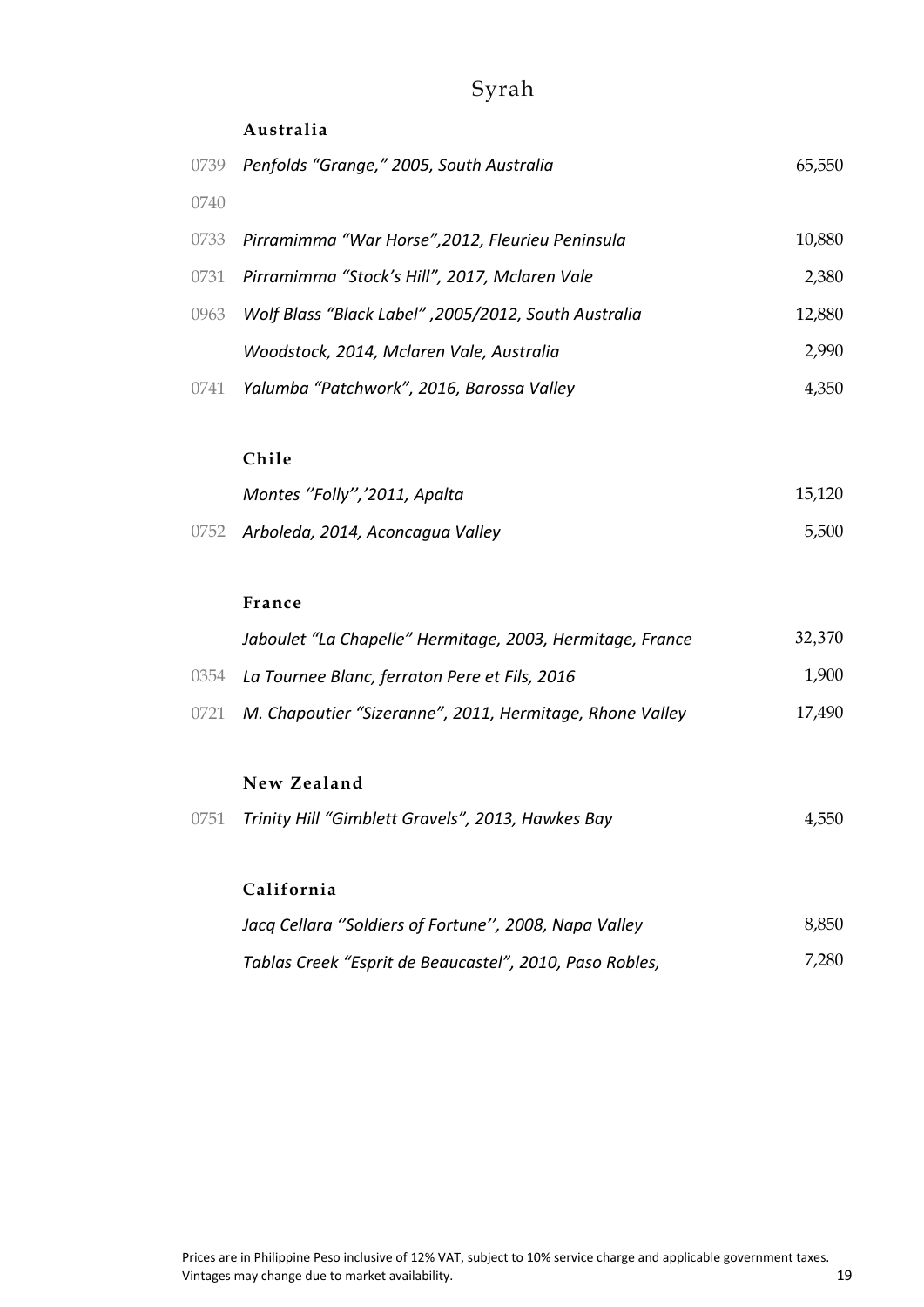# Syrah

#### **Australia**

|      | 0739 Penfolds "Grange," 2005, South Australia         | 65,550 |
|------|-------------------------------------------------------|--------|
| 0740 |                                                       |        |
|      | 0733 Pirramimma "War Horse", 2012, Fleurieu Peninsula | 10,880 |
|      | 0731 Pirramimma "Stock's Hill", 2017, Mclaren Vale    | 2,380  |
| 0963 | Wolf Blass "Black Label", 2005/2012, South Australia  | 12,880 |
|      | Woodstock, 2014, Mclaren Vale, Australia              | 2,990  |
| 0741 | Yalumba "Patchwork", 2016, Barossa Valley             | 4,350  |
|      |                                                       |        |
|      | Chile                                                 |        |
|      | Montes "Folly", '2011, Apalta                         | 15,120 |
| 0752 | Arboleda, 2014, Aconcagua Valley                      | 5,500  |
|      |                                                       |        |

#### **France**

| Jaboulet "La Chapelle" Hermitage, 2003, Hermitage, France     | 32,370 |
|---------------------------------------------------------------|--------|
| 0354 La Tournee Blanc, ferraton Pere et Fils, 2016            | 1.900  |
| 0721 M. Chapoutier "Sizeranne", 2011, Hermitage, Rhone Valley | 17,490 |

#### **New Zealand**

|  | 0751 Trinity Hill "Gimblett Gravels", 2013, Hawkes Bay | 4,550 |
|--|--------------------------------------------------------|-------|
|--|--------------------------------------------------------|-------|

### **California**

| Jacq Cellara "Soldiers of Fortune", 2008, Napa Valley   | 8.850 |
|---------------------------------------------------------|-------|
| Tablas Creek "Esprit de Beaucastel", 2010, Paso Robles, | 7,280 |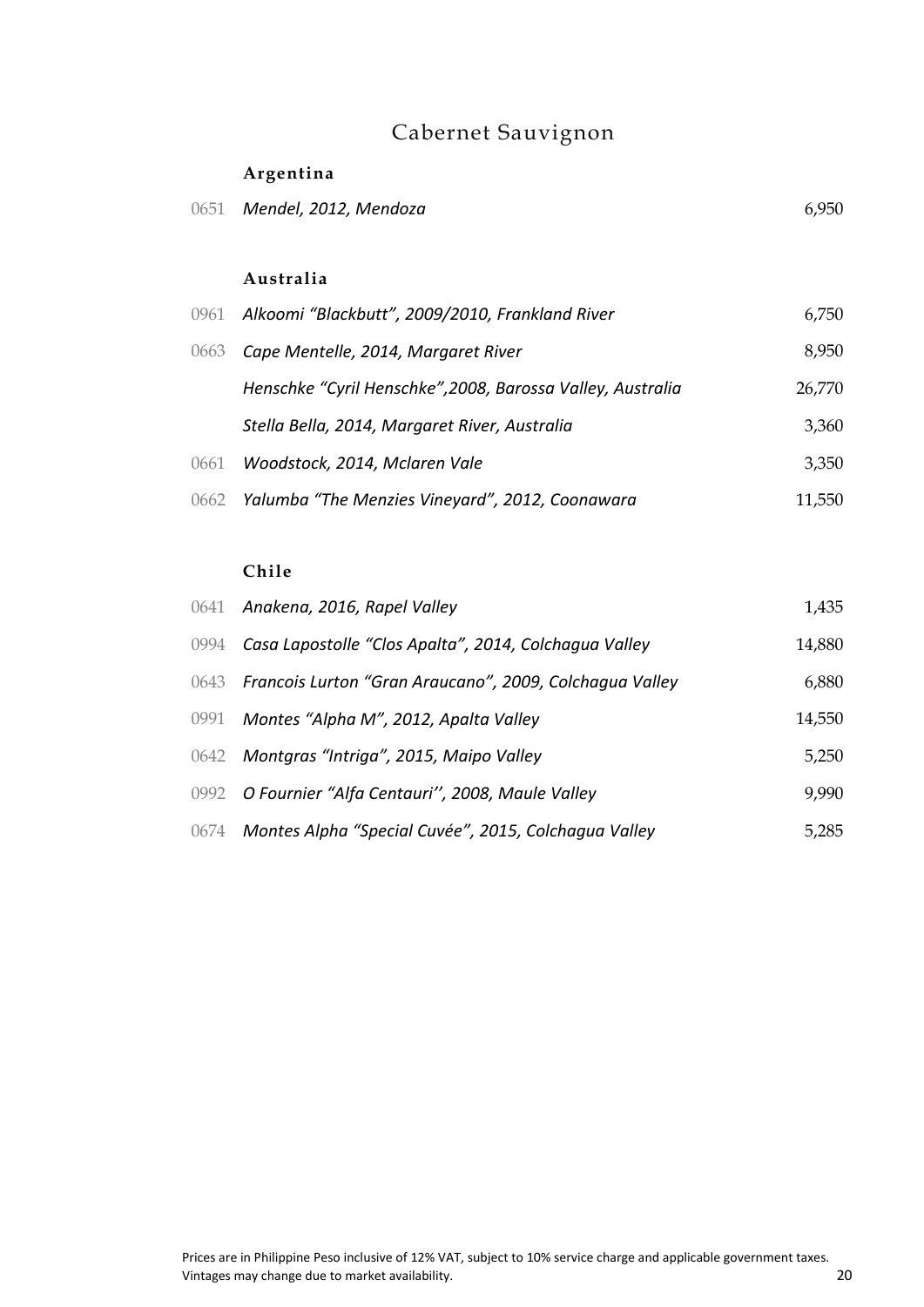# Cabernet Sauvignon

### **Argentina**

| 0651 Mendel, 2012, Mendoza | 6,950 |
|----------------------------|-------|
|                            |       |

#### **Australia**

|      | 0961 Alkoomi "Blackbutt", 2009/2010, Frankland River       | 6,750  |
|------|------------------------------------------------------------|--------|
| 0663 | Cape Mentelle, 2014, Margaret River                        | 8,950  |
|      | Henschke "Cyril Henschke", 2008, Barossa Valley, Australia | 26,770 |
|      | Stella Bella, 2014, Margaret River, Australia              | 3,360  |
| 0661 | Woodstock, 2014, Mclaren Vale                              | 3,350  |
|      | 0662 Yalumba "The Menzies Vineyard", 2012, Coonawara       | 11,550 |

### **Chile**

| 0641 Anakena, 2016, Rapel Valley                             | 1,435  |
|--------------------------------------------------------------|--------|
| 0994 Casa Lapostolle "Clos Apalta", 2014, Colchagua Valley   | 14,880 |
| 0643 Francois Lurton "Gran Araucano", 2009, Colchagua Valley | 6,880  |
| 0991 Montes "Alpha M", 2012, Apalta Valley                   | 14,550 |
| 0642 Montgras "Intriga", 2015, Maipo Valley                  | 5,250  |
| 0992 O Fournier "Alfa Centauri", 2008, Maule Valley          | 9,990  |
| 0674 Montes Alpha "Special Cuvée", 2015, Colchagua Valley    | 5,285  |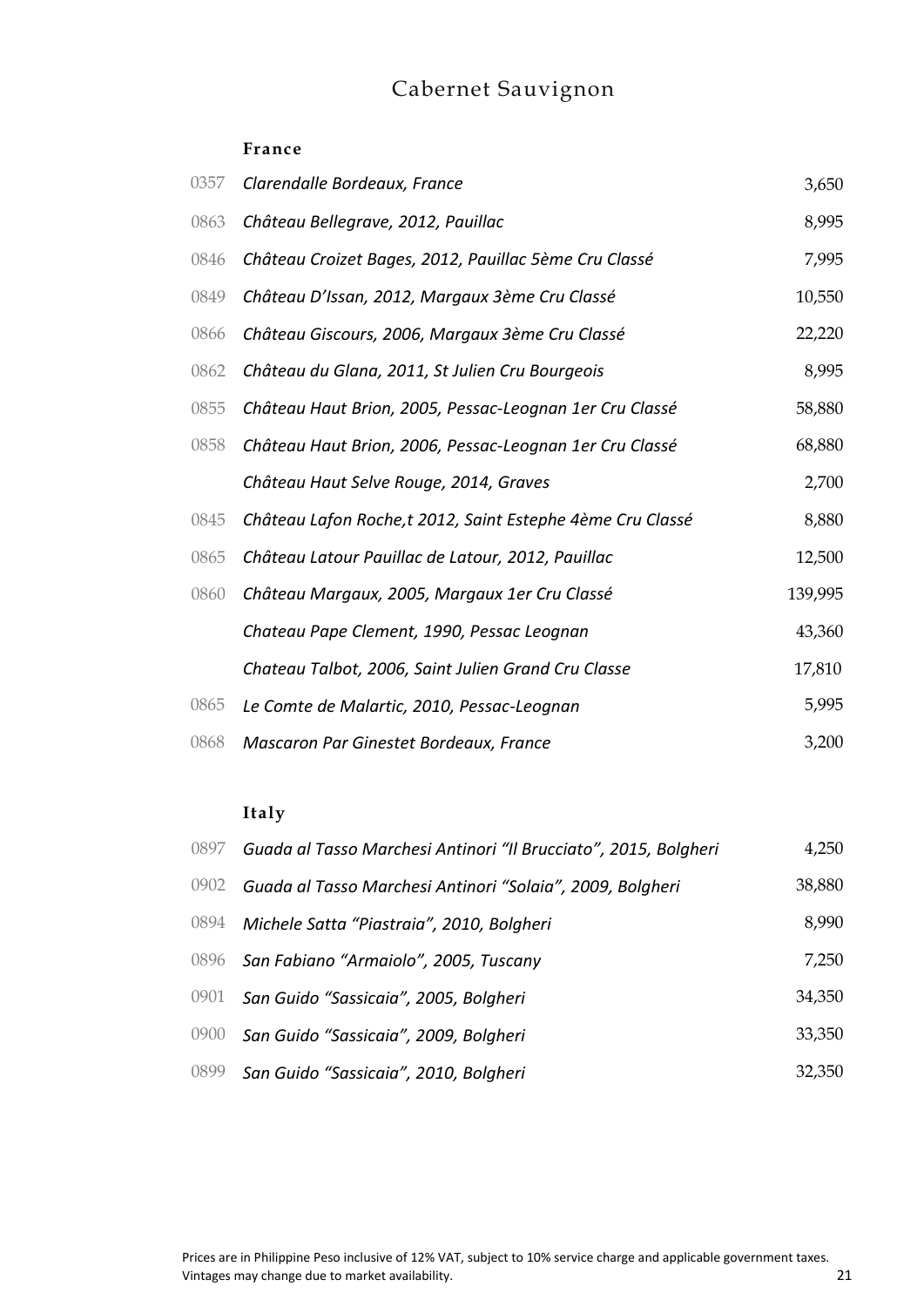# Cabernet Sauvignon

#### **France**

| 0357 | Clarendalle Bordeaux, France                              | 3,650   |
|------|-----------------------------------------------------------|---------|
| 0863 | Château Bellegrave, 2012, Pauillac                        | 8,995   |
| 0846 | Château Croizet Bages, 2012, Pauillac 5ème Cru Classé     | 7,995   |
| 0849 | Château D'Issan, 2012, Margaux 3ème Cru Classé            | 10,550  |
| 0866 | Château Giscours, 2006, Margaux 3ème Cru Classé           | 22,220  |
| 0862 | Château du Glana, 2011, St Julien Cru Bourgeois           | 8,995   |
| 0855 | Château Haut Brion, 2005, Pessac-Leognan 1er Cru Classé   | 58,880  |
| 0858 | Château Haut Brion, 2006, Pessac-Leognan 1er Cru Classé   | 68,880  |
|      | Château Haut Selve Rouge, 2014, Graves                    | 2,700   |
| 0845 | Château Lafon Roche,t 2012, Saint Estephe 4ème Cru Classé | 8,880   |
| 0865 | Château Latour Pauillac de Latour, 2012, Pauillac         | 12,500  |
| 0860 | Château Margaux, 2005, Margaux 1er Cru Classé             | 139,995 |
|      | Chateau Pape Clement, 1990, Pessac Leognan                | 43,360  |
|      | Chateau Talbot, 2006, Saint Julien Grand Cru Classe       | 17,810  |
| 0865 | Le Comte de Malartic, 2010, Pessac-Leognan                | 5,995   |
| 0868 | Mascaron Par Ginestet Bordeaux, France                    | 3,200   |

### **Italy**

| 0897 | Guada al Tasso Marchesi Antinori "Il Brucciato", 2015, Bolgheri | 4,250  |
|------|-----------------------------------------------------------------|--------|
| 0902 | Guada al Tasso Marchesi Antinori "Solaia", 2009, Bolgheri       | 38,880 |
| 0894 | Michele Satta "Piastraia", 2010, Bolgheri                       | 8,990  |
|      | 0896 San Fabiano "Armaiolo", 2005, Tuscany                      | 7,250  |
| 0901 | San Guido "Sassicaia", 2005, Bolgheri                           | 34,350 |
| 0900 | San Guido "Sassicaia", 2009, Bolgheri                           | 33,350 |
| 0899 | San Guido "Sassicaia", 2010, Bolgheri                           | 32,350 |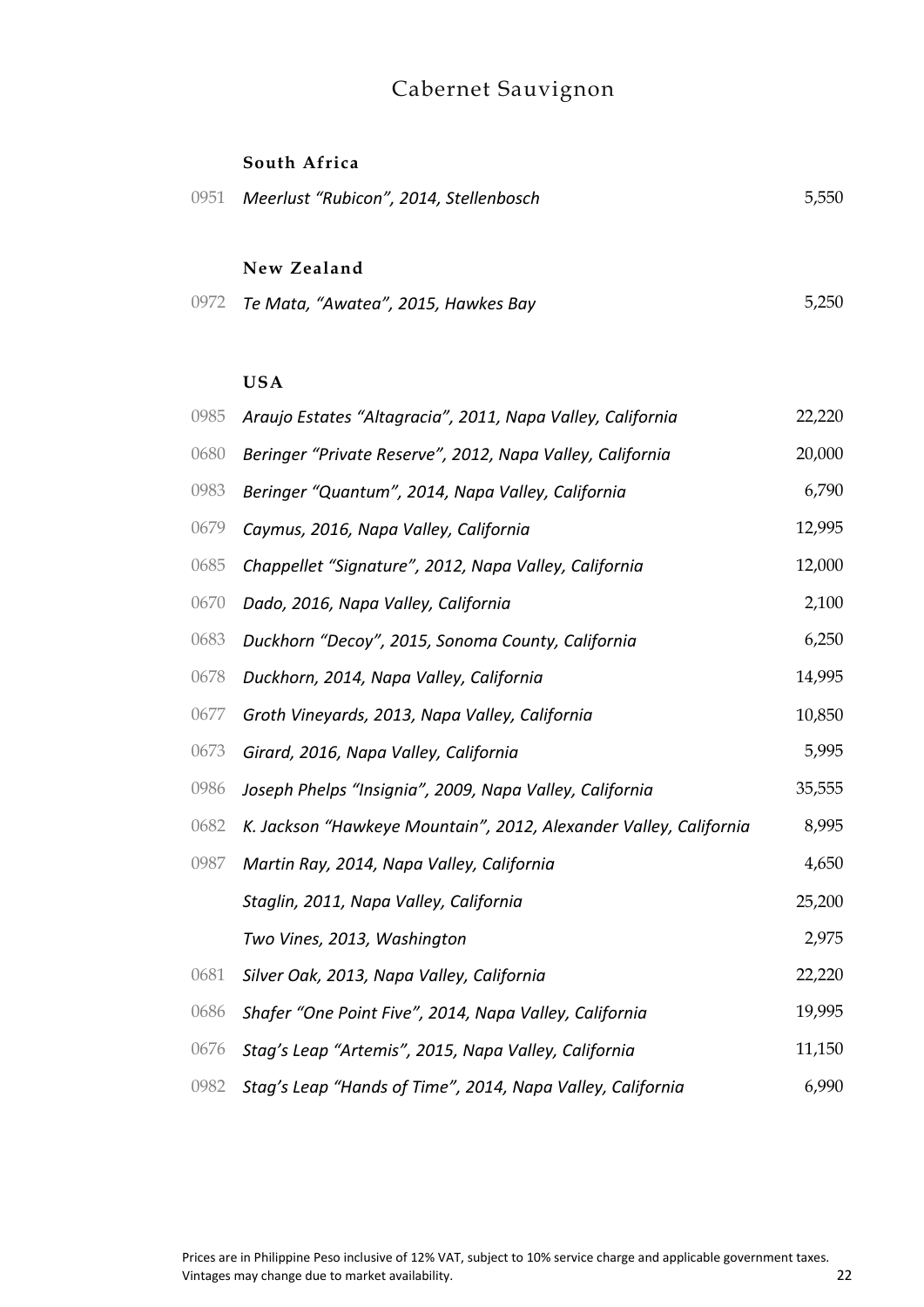# Cabernet Sauvignon

#### **South Africa**

| 0951 | Meerlust "Rubicon", 2014, Stellenbosch   | 5,550 |
|------|------------------------------------------|-------|
|      | New Zealand                              |       |
|      | 0972 Te Mata, "Awatea", 2015, Hawkes Bay | 5,250 |
|      |                                          |       |
|      | <b>USA</b>                               |       |

| 0985 | Araujo Estates "Altagracia", 2011, Napa Valley, California        |        |
|------|-------------------------------------------------------------------|--------|
| 0680 | Beringer "Private Reserve", 2012, Napa Valley, California         |        |
| 0983 | Beringer "Quantum", 2014, Napa Valley, California                 | 6,790  |
| 0679 | Caymus, 2016, Napa Valley, California                             | 12,995 |
| 0685 | Chappellet "Signature", 2012, Napa Valley, California             | 12,000 |
| 0670 | Dado, 2016, Napa Valley, California                               | 2,100  |
| 0683 | Duckhorn "Decoy", 2015, Sonoma County, California                 | 6,250  |
| 0678 | Duckhorn, 2014, Napa Valley, California                           | 14,995 |
| 0677 | Groth Vineyards, 2013, Napa Valley, California                    |        |
| 0673 | Girard, 2016, Napa Valley, California                             |        |
| 0986 | Joseph Phelps "Insignia", 2009, Napa Valley, California           |        |
| 0682 | K. Jackson "Hawkeye Mountain", 2012, Alexander Valley, California |        |
| 0987 | Martin Ray, 2014, Napa Valley, California                         | 4,650  |
|      | Staglin, 2011, Napa Valley, California                            | 25,200 |
|      | Two Vines, 2013, Washington                                       | 2,975  |
| 0681 | Silver Oak, 2013, Napa Valley, California                         | 22,220 |
| 0686 | Shafer "One Point Five", 2014, Napa Valley, California            | 19,995 |
| 0676 | Stag's Leap "Artemis", 2015, Napa Valley, California              | 11,150 |
| 0982 | Stag's Leap "Hands of Time", 2014, Napa Valley, California        | 6,990  |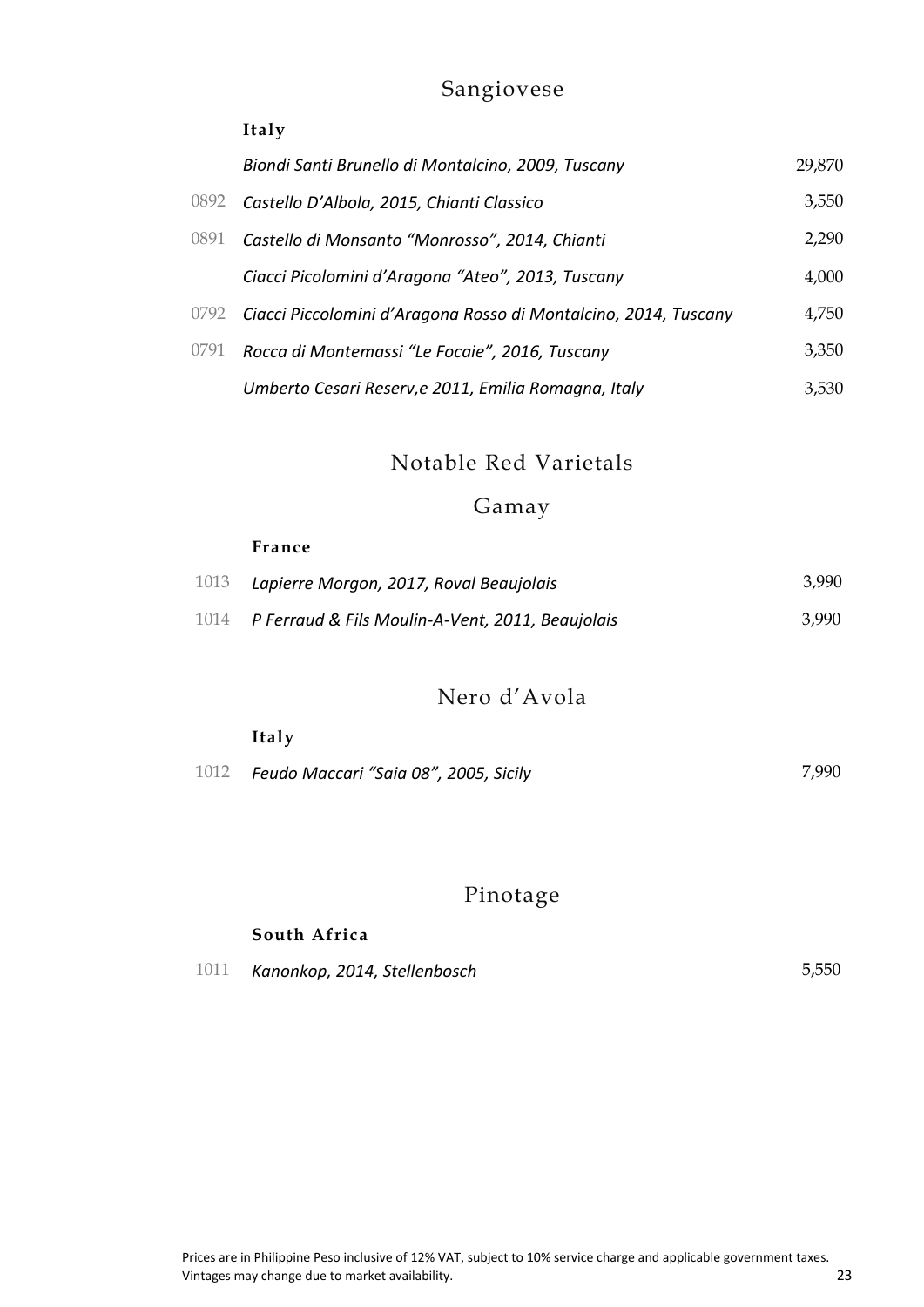### Sangiovese

### **Italy**

|      | Biondi Santi Brunello di Montalcino, 2009, Tuscany              | 29,870 |
|------|-----------------------------------------------------------------|--------|
| 0892 | Castello D'Albola, 2015, Chianti Classico                       | 3,550  |
| 0891 | Castello di Monsanto "Monrosso", 2014, Chianti                  | 2,290  |
|      | Ciacci Picolomini d'Aragona "Ateo", 2013, Tuscany               | 4,000  |
| 0792 | Ciacci Piccolomini d'Aragona Rosso di Montalcino, 2014, Tuscany | 4,750  |
| 0791 | Rocca di Montemassi "Le Focaie", 2016, Tuscany                  | 3,350  |
|      | Umberto Cesari Reserv, e 2011, Emilia Romagna, Italy            | 3.530  |

Notable Red Varietals

### Gamay

| France                                                |       |
|-------------------------------------------------------|-------|
| 1013 Lapierre Morgon, 2017, Roval Beaujolais          | 3.990 |
| 1014 P Ferraud & Fils Moulin-A-Vent, 2011, Beaujolais | 3.990 |

### Nero d'Avola

| Italy                                         |       |
|-----------------------------------------------|-------|
| 1012    Feudo Maccari "Saia 08", 2005, Sicily | 7.990 |

# Pinotage

### **South Africa**

| 1011 | Kanonkop, 2014, Stellenbosch | 5,550 |
|------|------------------------------|-------|
|------|------------------------------|-------|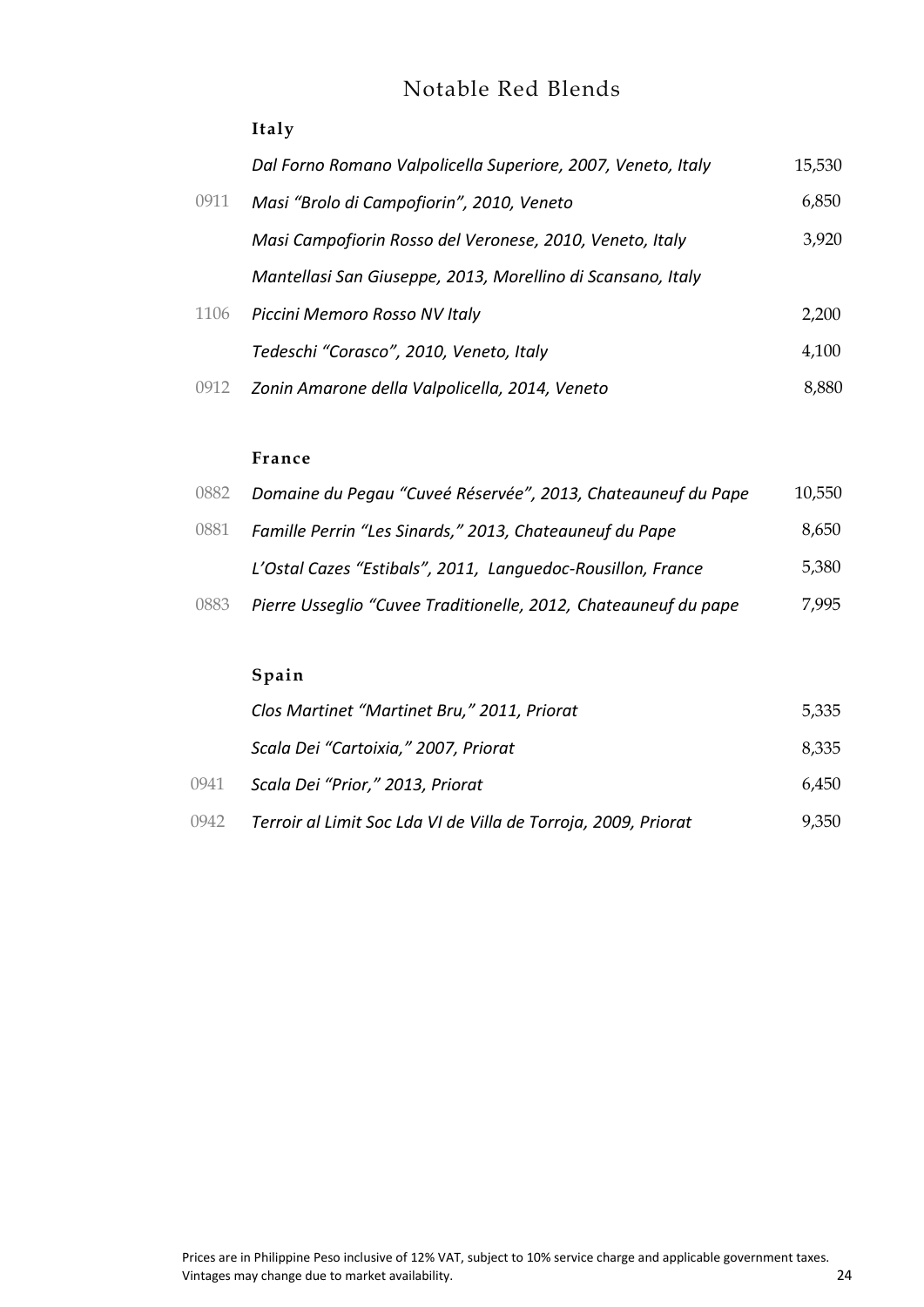### Notable Red Blends

### **Italy**

|      | Dal Forno Romano Valpolicella Superiore, 2007, Veneto, Italy | 15,530 |
|------|--------------------------------------------------------------|--------|
| 0911 | Masi "Brolo di Campofiorin", 2010, Veneto                    | 6,850  |
|      | Masi Campofiorin Rosso del Veronese, 2010, Veneto, Italy     | 3,920  |
|      | Mantellasi San Giuseppe, 2013, Morellino di Scansano, Italy  |        |
| 1106 | Piccini Memoro Rosso NV Italy                                | 2,200  |
|      | Tedeschi "Corasco", 2010, Veneto, Italy                      | 4,100  |
| 0912 | Zonin Amarone della Valpolicella, 2014, Veneto               | 8,880  |

#### **France**

| 0882 | Domaine du Pegau "Cuveé Réservée", 2013, Chateauneuf du Pape    | 10,550 |
|------|-----------------------------------------------------------------|--------|
| 0881 | Famille Perrin "Les Sinards," 2013, Chateauneuf du Pape         | 8,650  |
|      | L'Ostal Cazes "Estibals", 2011, Languedoc-Rousillon, France     | 5,380  |
| 0883 | Pierre Usseglio "Cuvee Traditionelle, 2012, Chateauneuf du pape | 7,995  |

### **Spain**

|      | Clos Martinet "Martinet Bru," 2011, Priorat                    | 5,335 |
|------|----------------------------------------------------------------|-------|
|      | Scala Dei "Cartoixia," 2007, Priorat                           | 8,335 |
| 0941 | Scala Dei "Prior," 2013, Priorat                               | 6.450 |
| 0942 | Terroir al Limit Soc Lda VI de Villa de Torroja, 2009, Priorat | 9,350 |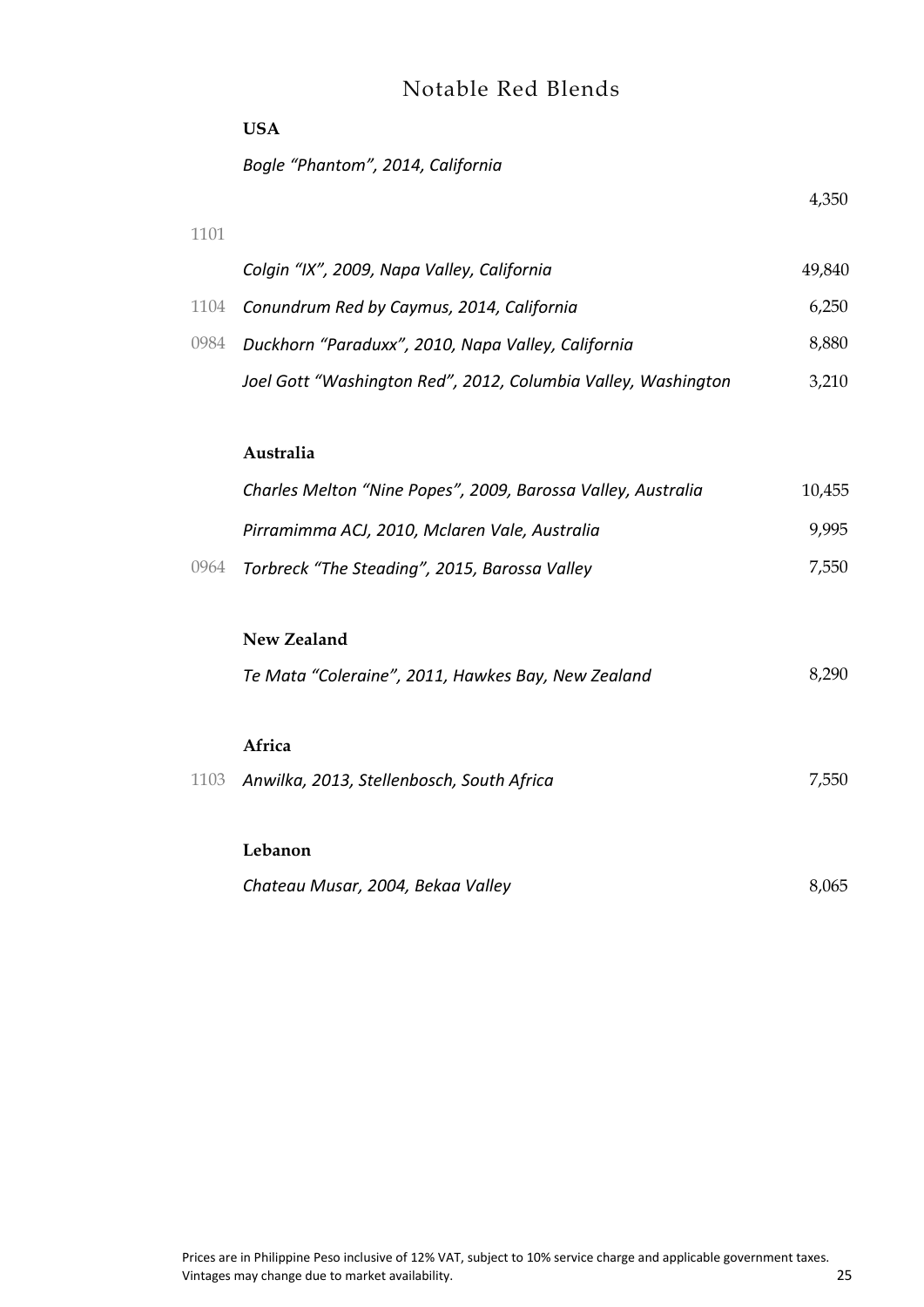### Notable Red Blends

|      | <b>USA</b>                                                    |        |
|------|---------------------------------------------------------------|--------|
|      | Bogle "Phantom", 2014, California                             |        |
|      |                                                               | 4,350  |
| 1101 |                                                               |        |
|      | Colgin "IX", 2009, Napa Valley, California                    | 49,840 |
| 1104 | Conundrum Red by Caymus, 2014, California                     | 6,250  |
| 0984 | Duckhorn "Paraduxx", 2010, Napa Valley, California            | 8,880  |
|      | Joel Gott "Washington Red", 2012, Columbia Valley, Washington | 3,210  |
|      |                                                               |        |
|      | Australia                                                     |        |
|      | Charles Melton "Nine Popes", 2009, Barossa Valley, Australia  | 10,455 |
|      | Pirramimma ACJ, 2010, Mclaren Vale, Australia                 | 9,995  |
| 0964 | Torbreck "The Steading", 2015, Barossa Valley                 | 7,550  |
|      |                                                               |        |
|      | New Zealand                                                   |        |
|      | Te Mata "Coleraine", 2011, Hawkes Bay, New Zealand            | 8,290  |
|      |                                                               |        |
|      | Africa                                                        |        |
| 1103 | Anwilka, 2013, Stellenbosch, South Africa                     | 7,550  |
|      |                                                               |        |
|      | Lebanon                                                       |        |
|      | Chateau Musar, 2004, Bekaa Valley                             | 8,065  |